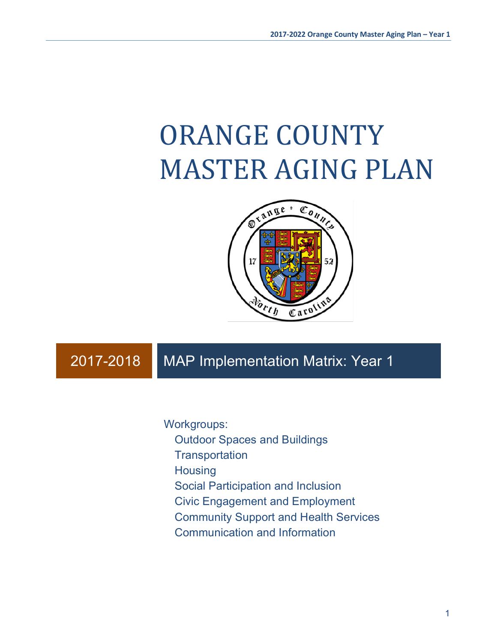# **ORANGE COUNTY** MASTER AGING PLAN



## 2017-2018 | MAP Implementation Matrix: Year 1

Workgroups:

- Outdoor Spaces and Buildings
- **Transportation**
- **Housing**
- Social Participation and Inclusion
- Civic Engagement and Employment
- Community Support and Health Services
- Communication and Information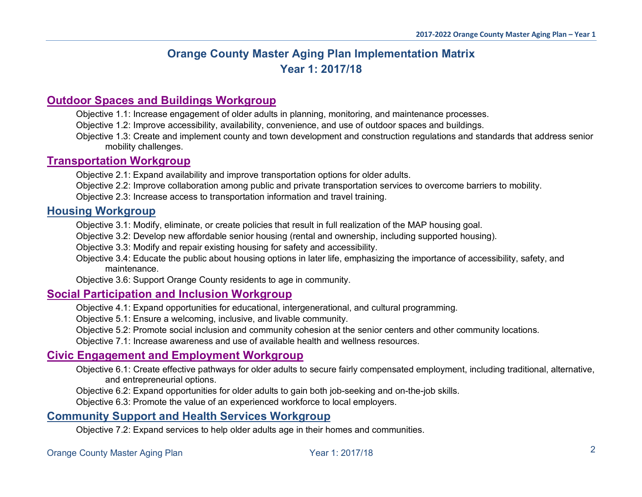### **Orange County Master Aging Plan Implementation Matrix Year 1: 2017/18**

#### **Outdoor Spaces and Buildings Workgroup**

Objective 1.1: Increase engagement of older adults in planning, monitoring, and maintenance processes.

Objective 1.2: Improve accessibility, availability, convenience, and use of outdoor spaces and buildings.

Objective 1.3: Create and implement county and town development and construction regulations and standards that address senior mobility challenges.

#### **Transportation Workgroup**

Objective 2.1: Expand availability and improve transportation options for older adults.

Objective 2.2: Improve collaboration among public and private transportation services to overcome barriers to mobility.

Objective 2.3: Increase access to transportation information and travel training.

#### **Housing Workgroup**

Objective 3.1: Modify, eliminate, or create policies that result in full realization of the MAP housing goal.

Objective 3.2: Develop new affordable senior housing (rental and ownership, including supported housing).

Objective 3.3: Modify and repair existing housing for safety and accessibility.

Objective 3.4: Educate the public about housing options in later life, emphasizing the importance of accessibility, safety, and maintenance.

Objective 3.6: Support Orange County residents to age in community.

#### **Social Participation and Inclusion Workgroup**

Objective 4.1: Expand opportunities for educational, intergenerational, and cultural programming.

Objective 5.1: Ensure a welcoming, inclusive, and livable community.

Objective 5.2: Promote social inclusion and community cohesion at the senior centers and other community locations.

Objective 7.1: Increase awareness and use of available health and wellness resources.

#### **Civic Engagement and Employment Workgroup**

Objective 6.1: Create effective pathways for older adults to secure fairly compensated employment, including traditional, alternative, and entrepreneurial options.

Objective 6.2: Expand opportunities for older adults to gain both job-seeking and on-the-job skills.

Objective 6.3: Promote the value of an experienced workforce to local employers.

#### **Community Support and Health Services Workgroup**

Objective 7.2: Expand services to help older adults age in their homes and communities.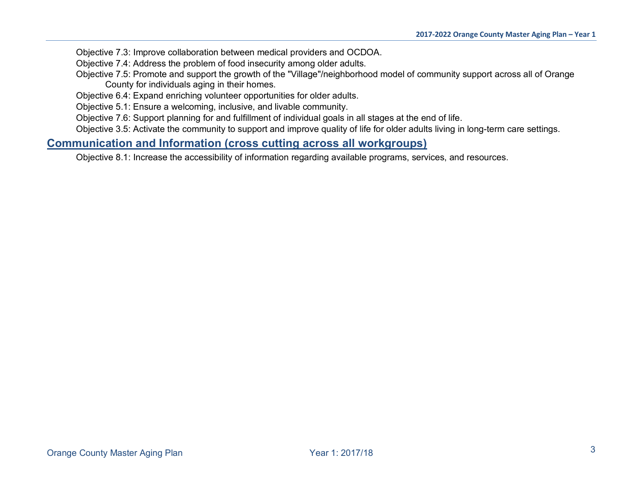Objective 7.3: Improve collaboration between medical providers and OCDOA.

Objective 7.4: Address the problem of food insecurity among older adults.

Objective 7.5: Promote and support the growth of the "Village"/neighborhood model of community support across all of Orange County for individuals aging in their homes.

Objective 6.4: Expand enriching volunteer opportunities for older adults.

Objective 5.1: Ensure a welcoming, inclusive, and livable community.

Objective 7.6: Support planning for and fulfillment of individual goals in all stages at the end of life.

Objective 3.5: Activate the community to support and improve quality of life for older adults living in long-term care settings.

#### **Communication and Information (cross cutting across all workgroups)**

Objective 8.1: Increase the accessibility of information regarding available programs, services, and resources.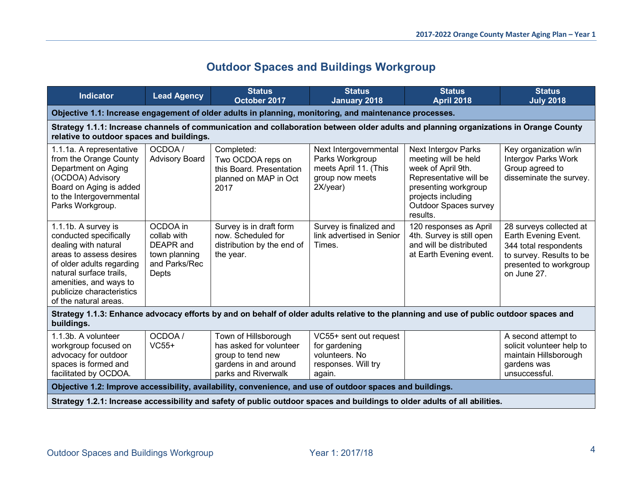## **Outdoor Spaces and Buildings Workgroup**

| <b>Indicator</b>                                                                                                                                                                                                                         | <b>Lead Agency</b>                                                              | <b>Status</b><br>October 2017                                                                                                           | <b>Status</b><br><b>January 2018</b>                                                              | <b>Status</b><br><b>April 2018</b>                                                                                                                                                           | <b>Status</b><br><b>July 2018</b>                                                                                                             |  |  |  |
|------------------------------------------------------------------------------------------------------------------------------------------------------------------------------------------------------------------------------------------|---------------------------------------------------------------------------------|-----------------------------------------------------------------------------------------------------------------------------------------|---------------------------------------------------------------------------------------------------|----------------------------------------------------------------------------------------------------------------------------------------------------------------------------------------------|-----------------------------------------------------------------------------------------------------------------------------------------------|--|--|--|
| Objective 1.1: Increase engagement of older adults in planning, monitoring, and maintenance processes.                                                                                                                                   |                                                                                 |                                                                                                                                         |                                                                                                   |                                                                                                                                                                                              |                                                                                                                                               |  |  |  |
| relative to outdoor spaces and buildings.                                                                                                                                                                                                |                                                                                 | Strategy 1.1.1: Increase channels of communication and collaboration between older adults and planning organizations in Orange County   |                                                                                                   |                                                                                                                                                                                              |                                                                                                                                               |  |  |  |
| 1.1.1a. A representative<br>from the Orange County<br>Department on Aging<br>(OCDOA) Advisory<br>Board on Aging is added<br>to the Intergovernmental<br>Parks Workgroup.                                                                 | OCDOA/<br><b>Advisory Board</b>                                                 | Completed:<br>Two OCDOA reps on<br>this Board. Presentation<br>planned on MAP in Oct<br>2017                                            | Next Intergovernmental<br>Parks Workgroup<br>meets April 11. (This<br>group now meets<br>2X/year) | <b>Next Intergov Parks</b><br>meeting will be held<br>week of April 9th.<br>Representative will be<br>presenting workgroup<br>projects including<br><b>Outdoor Spaces survey</b><br>results. | Key organization w/in<br><b>Intergov Parks Work</b><br>Group agreed to<br>disseminate the survey.                                             |  |  |  |
| 1.1.1b. A survey is<br>conducted specifically<br>dealing with natural<br>areas to assess desires<br>of older adults regarding<br>natural surface trails,<br>amenities, and ways to<br>publicize characteristics<br>of the natural areas. | OCDOA in<br>collab with<br>DEAPR and<br>town planning<br>and Parks/Rec<br>Depts | Survey is in draft form<br>now. Scheduled for<br>distribution by the end of<br>the year.                                                | Survey is finalized and<br>link advertised in Senior<br>Times.                                    | 120 responses as April<br>4th. Survey is still open<br>and will be distributed<br>at Earth Evening event.                                                                                    | 28 surveys collected at<br>Earth Evening Event.<br>344 total respondents<br>to survey. Results to be<br>presented to workgroup<br>on June 27. |  |  |  |
| buildings.                                                                                                                                                                                                                               |                                                                                 | Strategy 1.1.3: Enhance advocacy efforts by and on behalf of older adults relative to the planning and use of public outdoor spaces and |                                                                                                   |                                                                                                                                                                                              |                                                                                                                                               |  |  |  |
| 1.1.3b. A volunteer<br>workgroup focused on<br>advocacy for outdoor<br>spaces is formed and<br>facilitated by OCDOA.                                                                                                                     | OCDOA/<br>$VC55+$                                                               | Town of Hillsborough<br>has asked for volunteer<br>group to tend new<br>gardens in and around<br>parks and Riverwalk                    | VC55+ sent out request<br>for gardening<br>volunteers. No<br>responses. Will try<br>again.        |                                                                                                                                                                                              | A second attempt to<br>solicit volunteer help to<br>maintain Hillsborough<br>gardens was<br>unsuccessful.                                     |  |  |  |
|                                                                                                                                                                                                                                          |                                                                                 | Objective 1.2: Improve accessibility, availability, convenience, and use of outdoor spaces and buildings.                               |                                                                                                   |                                                                                                                                                                                              |                                                                                                                                               |  |  |  |
|                                                                                                                                                                                                                                          |                                                                                 | Strategy 1.2.1: Increase accessibility and safety of public outdoor spaces and buildings to older adults of all abilities.              |                                                                                                   |                                                                                                                                                                                              |                                                                                                                                               |  |  |  |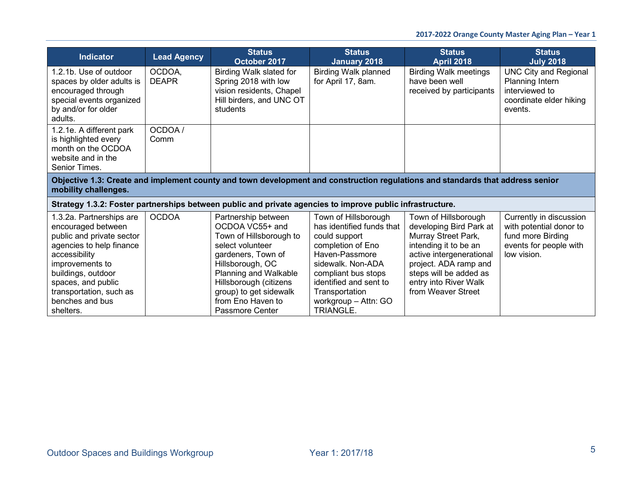| <b>Indicator</b>                                                                                                                                                                                                                                   | <b>Lead Agency</b>                                                                                                             | <b>Status</b><br>October 2017                                                                                                                                                                                                                        | <b>Status</b><br><b>January 2018</b>                                                                                                                                                                                                          | <b>Status</b><br><b>April 2018</b>                                                                                                                                                                                            | <b>Status</b><br><b>July 2018</b>                                                                                |  |  |  |  |
|----------------------------------------------------------------------------------------------------------------------------------------------------------------------------------------------------------------------------------------------------|--------------------------------------------------------------------------------------------------------------------------------|------------------------------------------------------------------------------------------------------------------------------------------------------------------------------------------------------------------------------------------------------|-----------------------------------------------------------------------------------------------------------------------------------------------------------------------------------------------------------------------------------------------|-------------------------------------------------------------------------------------------------------------------------------------------------------------------------------------------------------------------------------|------------------------------------------------------------------------------------------------------------------|--|--|--|--|
| 1.2.1b. Use of outdoor<br>spaces by older adults is<br>encouraged through<br>special events organized<br>by and/or for older<br>adults.                                                                                                            | OCDOA,<br><b>DEAPR</b>                                                                                                         | Birding Walk slated for<br>Spring 2018 with low<br>vision residents, Chapel<br>Hill birders, and UNC OT<br>students                                                                                                                                  | <b>Birding Walk planned</b><br>for April 17, 8am.                                                                                                                                                                                             | <b>Birding Walk meetings</b><br>have been well<br>received by participants                                                                                                                                                    | <b>UNC City and Regional</b><br>Planning Intern<br>interviewed to<br>coordinate elder hiking<br>events.          |  |  |  |  |
| 1.2.1e. A different park<br>is highlighted every<br>month on the OCDOA<br>website and in the<br>Senior Times.                                                                                                                                      | OCDOA/<br>Comm                                                                                                                 |                                                                                                                                                                                                                                                      |                                                                                                                                                                                                                                               |                                                                                                                                                                                                                               |                                                                                                                  |  |  |  |  |
| mobility challenges.                                                                                                                                                                                                                               | Objective 1.3: Create and implement county and town development and construction regulations and standards that address senior |                                                                                                                                                                                                                                                      |                                                                                                                                                                                                                                               |                                                                                                                                                                                                                               |                                                                                                                  |  |  |  |  |
|                                                                                                                                                                                                                                                    |                                                                                                                                | Strategy 1.3.2: Foster partnerships between public and private agencies to improve public infrastructure.                                                                                                                                            |                                                                                                                                                                                                                                               |                                                                                                                                                                                                                               |                                                                                                                  |  |  |  |  |
| 1.3.2a. Partnerships are<br>encouraged between<br>public and private sector<br>agencies to help finance<br>accessibility<br>improvements to<br>buildings, outdoor<br>spaces, and public<br>transportation, such as<br>benches and bus<br>shelters. | <b>OCDOA</b>                                                                                                                   | Partnership between<br>OCDOA VC55+ and<br>Town of Hillsborough to<br>select volunteer<br>gardeners, Town of<br>Hillsborough, OC<br>Planning and Walkable<br>Hillsborough (citizens<br>group) to get sidewalk<br>from Eno Haven to<br>Passmore Center | Town of Hillsborough<br>has identified funds that<br>could support<br>completion of Eno<br>Haven-Passmore<br>sidewalk. Non-ADA<br>compliant bus stops<br>identified and sent to<br>Transportation<br>workgroup - Attn: GO<br><b>TRIANGLE.</b> | Town of Hillsborough<br>developing Bird Park at<br>Murray Street Park,<br>intending it to be an<br>active intergenerational<br>project. ADA ramp and<br>steps will be added as<br>entry into River Walk<br>from Weaver Street | Currently in discussion<br>with potential donor to<br>fund more Birding<br>events for people with<br>low vision. |  |  |  |  |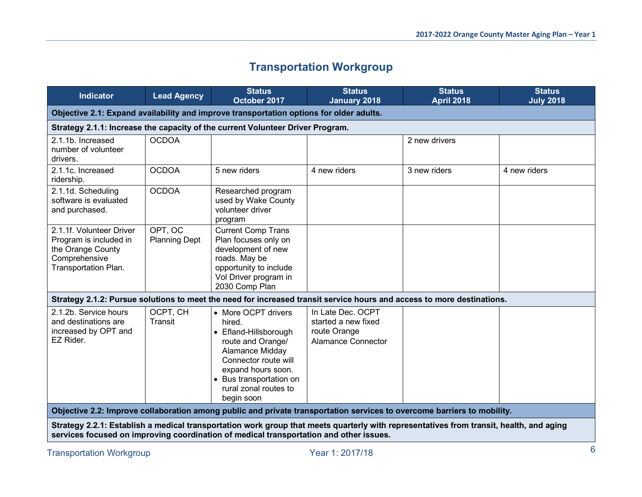## **Transportation Workgroup**

| <b>Indicator</b>                                                                                                 | <b>Lead Agency</b>              | <b>Status</b><br>October 2017                                                                                                                                                                                                     | <b>Status</b><br><b>January 2018</b>                                           | <b>Status</b><br><b>April 2018</b> | <b>Status</b><br><b>July 2018</b> |  |  |  |  |
|------------------------------------------------------------------------------------------------------------------|---------------------------------|-----------------------------------------------------------------------------------------------------------------------------------------------------------------------------------------------------------------------------------|--------------------------------------------------------------------------------|------------------------------------|-----------------------------------|--|--|--|--|
| Objective 2.1: Expand availability and improve transportation options for older adults.                          |                                 |                                                                                                                                                                                                                                   |                                                                                |                                    |                                   |  |  |  |  |
| Strategy 2.1.1: Increase the capacity of the current Volunteer Driver Program.                                   |                                 |                                                                                                                                                                                                                                   |                                                                                |                                    |                                   |  |  |  |  |
| 2.1.1b. Increased<br>number of volunteer<br>drivers.                                                             | <b>OCDOA</b>                    |                                                                                                                                                                                                                                   |                                                                                | 2 new drivers                      |                                   |  |  |  |  |
| 2.1.1c. Increased<br>ridership.                                                                                  | <b>OCDOA</b>                    | 5 new riders                                                                                                                                                                                                                      | 4 new riders                                                                   | 3 new riders                       | 4 new riders                      |  |  |  |  |
| 2.1.1d. Scheduling<br>software is evaluated<br>and purchased.                                                    | <b>OCDOA</b>                    | Researched program<br>used by Wake County<br>volunteer driver<br>program                                                                                                                                                          |                                                                                |                                    |                                   |  |  |  |  |
| 2.1.1f. Volunteer Driver<br>Program is included in<br>the Orange County<br>Comprehensive<br>Transportation Plan. | OPT, OC<br><b>Planning Dept</b> | <b>Current Comp Trans</b><br>Plan focuses only on<br>development of new<br>roads. May be<br>opportunity to include<br>Vol Driver program in<br>2030 Comp Plan                                                                     |                                                                                |                                    |                                   |  |  |  |  |
|                                                                                                                  |                                 | Strategy 2.1.2: Pursue solutions to meet the need for increased transit service hours and access to more destinations.                                                                                                            |                                                                                |                                    |                                   |  |  |  |  |
| 2.1.2b. Service hours<br>and destinations are<br>increased by OPT and<br>EZ Rider.                               | OCPT, CH<br>Transit             | • More OCPT drivers<br>hired.<br>• Efland-Hillsborough<br>route and Orange/<br>Alamance Midday<br>Connector route will<br>expand hours soon.<br>• Bus transportation on<br>rural zonal routes to<br>begin soon                    | In Late Dec. OCPT<br>started a new fixed<br>route Orange<br>Alamance Connector |                                    |                                   |  |  |  |  |
|                                                                                                                  |                                 | Objective 2.2: Improve collaboration among public and private transportation services to overcome barriers to mobility.                                                                                                           |                                                                                |                                    |                                   |  |  |  |  |
|                                                                                                                  |                                 | Strategy 2.2.1: Establish a medical transportation work group that meets quarterly with representatives from transit, health, and aging<br>services focused on improving coordination of medical transportation and other issues. |                                                                                |                                    |                                   |  |  |  |  |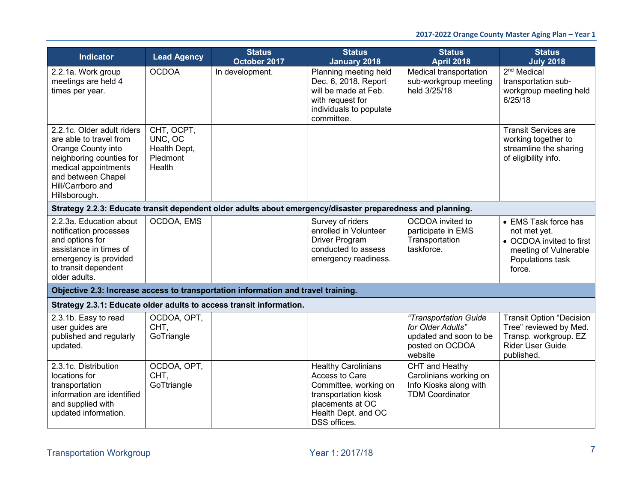| <b>Indicator</b>                                                                                                                                                                            | <b>Lead Agency</b>                                          | <b>Status</b><br>October 2017                                                                              | <b>Status</b><br><b>January 2018</b>                                                                                                                     | <b>Status</b><br><b>April 2018</b>                                                                 | <b>Status</b><br><b>July 2018</b>                                                                                           |
|---------------------------------------------------------------------------------------------------------------------------------------------------------------------------------------------|-------------------------------------------------------------|------------------------------------------------------------------------------------------------------------|----------------------------------------------------------------------------------------------------------------------------------------------------------|----------------------------------------------------------------------------------------------------|-----------------------------------------------------------------------------------------------------------------------------|
| 2.2.1a. Work group<br>meetings are held 4<br>times per year.                                                                                                                                | <b>OCDOA</b>                                                | In development.                                                                                            | Planning meeting held<br>Dec. 6, 2018. Report<br>will be made at Feb.<br>with request for<br>individuals to populate<br>committee.                       | Medical transportation<br>sub-workgroup meeting<br>held 3/25/18                                    | 2 <sup>nd</sup> Medical<br>transportation sub-<br>workgroup meeting held<br>6/25/18                                         |
| 2.2.1c. Older adult riders<br>are able to travel from<br>Orange County into<br>neighboring counties for<br>medical appointments<br>and between Chapel<br>Hill/Carrboro and<br>Hillsborough. | CHT, OCPT,<br>UNC, OC<br>Health Dept,<br>Piedmont<br>Health |                                                                                                            |                                                                                                                                                          |                                                                                                    | <b>Transit Services are</b><br>working together to<br>streamline the sharing<br>of eligibility info.                        |
|                                                                                                                                                                                             |                                                             | Strategy 2.2.3: Educate transit dependent older adults about emergency/disaster preparedness and planning. |                                                                                                                                                          |                                                                                                    |                                                                                                                             |
| 2.2.3a. Education about<br>notification processes<br>and options for<br>assistance in times of<br>emergency is provided<br>to transit dependent<br>older adults.                            | OCDOA, EMS                                                  |                                                                                                            | Survey of riders<br>enrolled in Volunteer<br><b>Driver Program</b><br>conducted to assess<br>emergency readiness.                                        | OCDOA invited to<br>participate in EMS<br>Transportation<br>taskforce.                             | • EMS Task force has<br>not met yet.<br>• OCDOA invited to first<br>meeting of Vulnerable<br>Populations task<br>force.     |
|                                                                                                                                                                                             |                                                             | Objective 2.3: Increase access to transportation information and travel training.                          |                                                                                                                                                          |                                                                                                    |                                                                                                                             |
|                                                                                                                                                                                             |                                                             | Strategy 2.3.1: Educate older adults to access transit information.                                        |                                                                                                                                                          |                                                                                                    |                                                                                                                             |
| 2.3.1b. Easy to read<br>user guides are<br>published and regularly<br>updated.                                                                                                              | OCDOA, OPT,<br>CHT,<br>GoTriangle                           |                                                                                                            |                                                                                                                                                          | "Transportation Guide<br>for Older Adults"<br>updated and soon to be<br>posted on OCDOA<br>website | <b>Transit Option "Decision</b><br>Tree" reviewed by Med.<br>Transp. workgroup. EZ<br><b>Rider User Guide</b><br>published. |
| 2.3.1c. Distribution<br>locations for<br>transportation<br>information are identified<br>and supplied with<br>updated information.                                                          | OCDOA, OPT,<br>CHT,<br>GoTtriangle                          |                                                                                                            | <b>Healthy Carolinians</b><br>Access to Care<br>Committee, working on<br>transportation kiosk<br>placements at OC<br>Health Dept. and OC<br>DSS offices. | CHT and Heathy<br>Carolinians working on<br>Info Kiosks along with<br><b>TDM Coordinator</b>       |                                                                                                                             |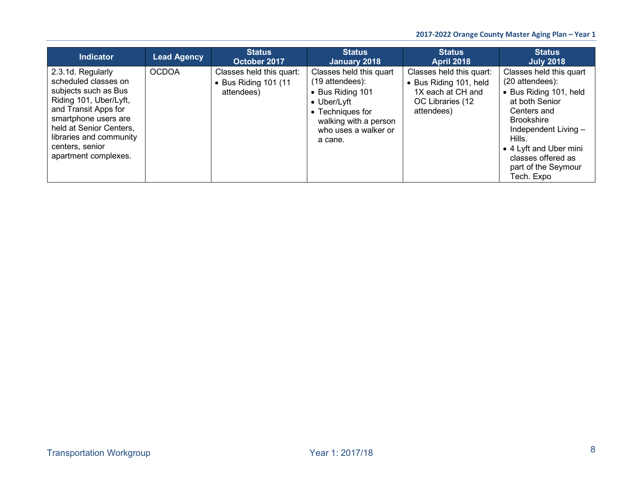| <b>Indicator</b>                                                                                                                                                                                                                             | <b>Lead Agency</b> | <b>Status</b><br>October 2017                                  | <b>Status</b><br>January 2018                                                                                                                                         | <b>Status</b><br><b>April 2018</b>                                                                        | <b>Status</b><br><b>July 2018</b>                                                                                                                                                                                                                 |
|----------------------------------------------------------------------------------------------------------------------------------------------------------------------------------------------------------------------------------------------|--------------------|----------------------------------------------------------------|-----------------------------------------------------------------------------------------------------------------------------------------------------------------------|-----------------------------------------------------------------------------------------------------------|---------------------------------------------------------------------------------------------------------------------------------------------------------------------------------------------------------------------------------------------------|
| 2.3.1d. Regularly<br>scheduled classes on<br>subjects such as Bus<br>Riding 101, Uber/Lyft,<br>and Transit Apps for<br>smartphone users are<br>held at Senior Centers,<br>libraries and community<br>centers, senior<br>apartment complexes. | <b>OCDOA</b>       | Classes held this quart:<br>• Bus Riding 101 (11<br>attendees) | Classes held this quart<br>(19 attendees):<br>• Bus Riding 101<br>$\bullet$ Uber/Lyft<br>• Techniques for<br>walking with a person<br>who uses a walker or<br>a cane. | Classes held this quart:<br>• Bus Riding 101, held<br>1X each at CH and<br>OC Libraries (12<br>attendees) | Classes held this quart<br>(20 attendees):<br>• Bus Riding 101, held<br>at both Senior<br>Centers and<br><b>Brookshire</b><br>Independent Living -<br>Hills.<br>• 4 Lyft and Uber mini<br>classes offered as<br>part of the Seymour<br>Tech. Expo |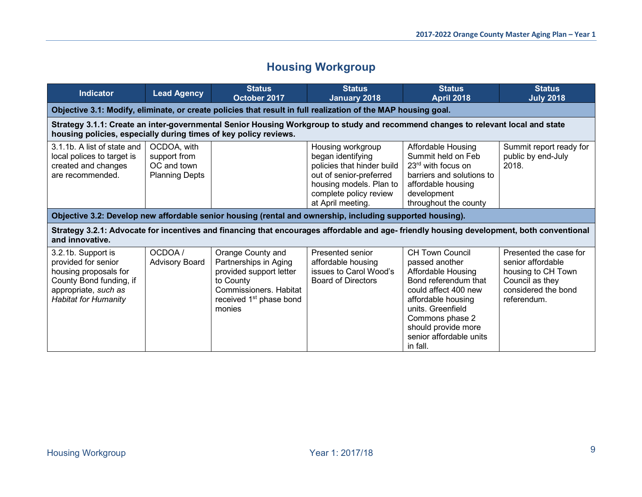## **Housing Workgroup**

| <b>Indicator</b>                                                                                                                                                                                     | <b>Lead Agency</b>                                                                                            | <b>Status</b><br>October 2017                                                                                                                                 | <b>Status</b><br>January 2018                                                                                                                                             | <b>Status</b><br><b>April 2018</b>                                                                                                                                                                                                                | <b>Status</b><br><b>July 2018</b>                                                                                          |  |  |  |  |
|------------------------------------------------------------------------------------------------------------------------------------------------------------------------------------------------------|---------------------------------------------------------------------------------------------------------------|---------------------------------------------------------------------------------------------------------------------------------------------------------------|---------------------------------------------------------------------------------------------------------------------------------------------------------------------------|---------------------------------------------------------------------------------------------------------------------------------------------------------------------------------------------------------------------------------------------------|----------------------------------------------------------------------------------------------------------------------------|--|--|--|--|
|                                                                                                                                                                                                      | Objective 3.1: Modify, eliminate, or create policies that result in full realization of the MAP housing goal. |                                                                                                                                                               |                                                                                                                                                                           |                                                                                                                                                                                                                                                   |                                                                                                                            |  |  |  |  |
| Strategy 3.1.1: Create an inter-governmental Senior Housing Workgroup to study and recommend changes to relevant local and state<br>housing policies, especially during times of key policy reviews. |                                                                                                               |                                                                                                                                                               |                                                                                                                                                                           |                                                                                                                                                                                                                                                   |                                                                                                                            |  |  |  |  |
| 3.1.1b. A list of state and<br>local polices to target is<br>created and changes<br>are recommended.                                                                                                 | OCDOA, with<br>support from<br>OC and town<br><b>Planning Depts</b>                                           |                                                                                                                                                               | Housing workgroup<br>began identifying<br>policies that hinder build<br>out of senior-preferred<br>housing models. Plan to<br>complete policy review<br>at April meeting. | Affordable Housing<br>Summit held on Feb<br>$23rd$ with focus on<br>barriers and solutions to<br>affordable housing<br>development<br>throughout the county                                                                                       | Summit report ready for<br>public by end-July<br>2018.                                                                     |  |  |  |  |
|                                                                                                                                                                                                      |                                                                                                               |                                                                                                                                                               | Objective 3.2: Develop new affordable senior housing (rental and ownership, including supported housing).                                                                 |                                                                                                                                                                                                                                                   |                                                                                                                            |  |  |  |  |
| and innovative.                                                                                                                                                                                      |                                                                                                               |                                                                                                                                                               | Strategy 3.2.1: Advocate for incentives and financing that encourages affordable and age- friendly housing development, both conventional                                 |                                                                                                                                                                                                                                                   |                                                                                                                            |  |  |  |  |
| 3.2.1b. Support is<br>provided for senior<br>housing proposals for<br>County Bond funding, if<br>appropriate, such as<br><b>Habitat for Humanity</b>                                                 | OCDOA/<br><b>Advisory Board</b>                                                                               | Orange County and<br>Partnerships in Aging<br>provided support letter<br>to County<br>Commissioners. Habitat<br>received 1 <sup>st</sup> phase bond<br>monies | Presented senior<br>affordable housing<br>issues to Carol Wood's<br><b>Board of Directors</b>                                                                             | <b>CH Town Council</b><br>passed another<br><b>Affordable Housing</b><br>Bond referendum that<br>could affect 400 new<br>affordable housing<br>units. Greenfield<br>Commons phase 2<br>should provide more<br>senior affordable units<br>in fall. | Presented the case for<br>senior affordable<br>housing to CH Town<br>Council as they<br>considered the bond<br>referendum. |  |  |  |  |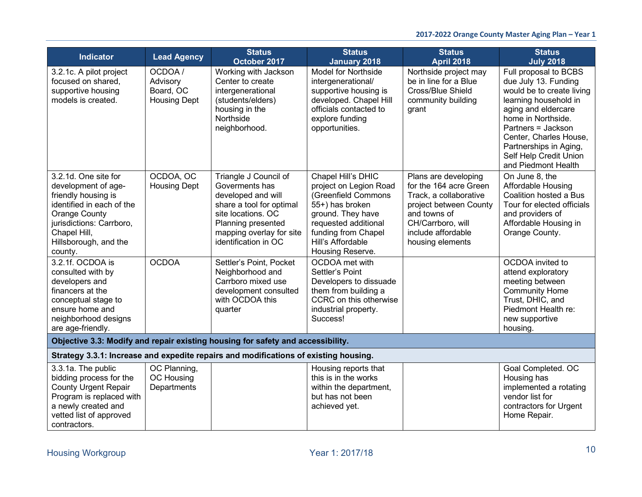| <b>Indicator</b>                                                                                                                                                                                 | <b>Lead Agency</b>                                     | <b>Status</b><br>October 2017                                                                                                                                                             | <b>Status</b><br><b>January 2018</b>                                                                                                                                                                | <b>Status</b><br><b>April 2018</b>                                                                                                                                                | <b>Status</b><br><b>July 2018</b>                                                                                                                                                                                                                                           |
|--------------------------------------------------------------------------------------------------------------------------------------------------------------------------------------------------|--------------------------------------------------------|-------------------------------------------------------------------------------------------------------------------------------------------------------------------------------------------|-----------------------------------------------------------------------------------------------------------------------------------------------------------------------------------------------------|-----------------------------------------------------------------------------------------------------------------------------------------------------------------------------------|-----------------------------------------------------------------------------------------------------------------------------------------------------------------------------------------------------------------------------------------------------------------------------|
| 3.2.1c. A pilot project<br>focused on shared,<br>supportive housing<br>models is created.                                                                                                        | OCDOA/<br>Advisory<br>Board, OC<br><b>Housing Dept</b> | Working with Jackson<br>Center to create<br>intergenerational<br>(students/elders)<br>housing in the<br>Northside<br>neighborhood.                                                        | Model for Northside<br>intergenerational/<br>supportive housing is<br>developed. Chapel Hill<br>officials contacted to<br>explore funding<br>opportunities.                                         | Northside project may<br>be in line for a Blue<br>Cross/Blue Shield<br>community building<br>grant                                                                                | Full proposal to BCBS<br>due July 13. Funding<br>would be to create living<br>learning household in<br>aging and eldercare<br>home in Northside.<br>Partners = Jackson<br>Center, Charles House,<br>Partnerships in Aging,<br>Self Help Credit Union<br>and Piedmont Health |
| 3.2.1d. One site for<br>development of age-<br>friendly housing is<br>identified in each of the<br>Orange County<br>jurisdictions: Carrboro,<br>Chapel Hill,<br>Hillsborough, and the<br>county. | OCDOA, OC<br><b>Housing Dept</b>                       | Triangle J Council of<br>Goverments has<br>developed and will<br>share a tool for optimal<br>site locations. OC<br>Planning presented<br>mapping overlay for site<br>identification in OC | Chapel Hill's DHIC<br>project on Legion Road<br>(Greenfield Commons<br>55+) has broken<br>ground. They have<br>requested additional<br>funding from Chapel<br>Hill's Affordable<br>Housing Reserve. | Plans are developing<br>for the 164 acre Green<br>Track, a collaborative<br>project between County<br>and towns of<br>CH/Carrboro, will<br>include affordable<br>housing elements | On June 8, the<br>Affordable Housing<br>Coalition hosted a Bus<br>Tour for elected officials<br>and providers of<br>Affordable Housing in<br>Orange County.                                                                                                                 |
| 3.2.1f. OCDOA is<br>consulted with by<br>developers and<br>financers at the<br>conceptual stage to<br>ensure home and<br>neighborhood designs<br>are age-friendly.                               | <b>OCDOA</b>                                           | Settler's Point, Pocket<br>Neighborhood and<br>Carrboro mixed use<br>development consulted<br>with OCDOA this<br>quarter                                                                  | OCDOA met with<br>Settler's Point<br>Developers to dissuade<br>them from building a<br>CCRC on this otherwise<br>industrial property.<br>Success!                                                   |                                                                                                                                                                                   | OCDOA invited to<br>attend exploratory<br>meeting between<br><b>Community Home</b><br>Trust, DHIC, and<br>Piedmont Health re:<br>new supportive<br>housing.                                                                                                                 |
|                                                                                                                                                                                                  |                                                        | Objective 3.3: Modify and repair existing housing for safety and accessibility.                                                                                                           |                                                                                                                                                                                                     |                                                                                                                                                                                   |                                                                                                                                                                                                                                                                             |
|                                                                                                                                                                                                  |                                                        | Strategy 3.3.1: Increase and expedite repairs and modifications of existing housing.                                                                                                      |                                                                                                                                                                                                     |                                                                                                                                                                                   |                                                                                                                                                                                                                                                                             |
| 3.3.1a. The public<br>bidding process for the<br><b>County Urgent Repair</b><br>Program is replaced with<br>a newly created and<br>vetted list of approved<br>contractors.                       | OC Planning,<br>OC Housing<br>Departments              |                                                                                                                                                                                           | Housing reports that<br>this is in the works<br>within the department,<br>but has not been<br>achieved yet.                                                                                         |                                                                                                                                                                                   | Goal Completed. OC<br>Housing has<br>implemented a rotating<br>vendor list for<br>contractors for Urgent<br>Home Repair.                                                                                                                                                    |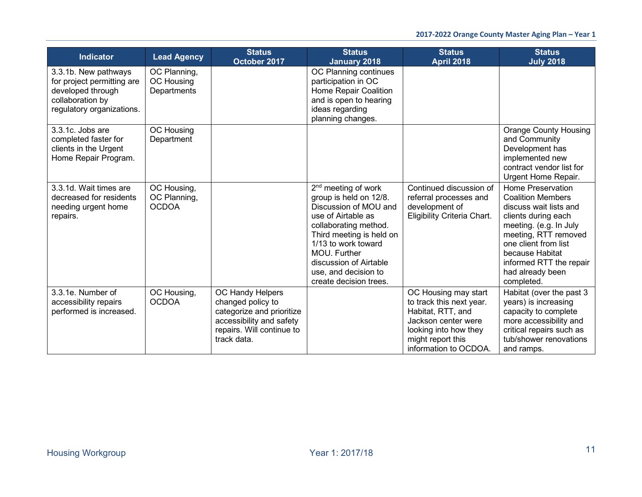| <b>Indicator</b>                                                                                                         | <b>Lead Agency</b>                          | <b>Status</b><br>October 2017                                                                                                              | <b>Status</b><br><b>January 2018</b>                                                                                                                                                                                                                                             | <b>Status</b><br><b>April 2018</b>                                                                                                                                  | <b>Status</b><br><b>July 2018</b>                                                                                                                                                                                                                               |
|--------------------------------------------------------------------------------------------------------------------------|---------------------------------------------|--------------------------------------------------------------------------------------------------------------------------------------------|----------------------------------------------------------------------------------------------------------------------------------------------------------------------------------------------------------------------------------------------------------------------------------|---------------------------------------------------------------------------------------------------------------------------------------------------------------------|-----------------------------------------------------------------------------------------------------------------------------------------------------------------------------------------------------------------------------------------------------------------|
| 3.3.1b. New pathways<br>for project permitting are<br>developed through<br>collaboration by<br>regulatory organizations. | OC Planning,<br>OC Housing<br>Departments   |                                                                                                                                            | OC Planning continues<br>participation in OC<br>Home Repair Coalition<br>and is open to hearing<br>ideas regarding<br>planning changes.                                                                                                                                          |                                                                                                                                                                     |                                                                                                                                                                                                                                                                 |
| 3.3.1c. Jobs are<br>completed faster for<br>clients in the Urgent<br>Home Repair Program.                                | OC Housing<br>Department                    |                                                                                                                                            |                                                                                                                                                                                                                                                                                  |                                                                                                                                                                     | <b>Orange County Housing</b><br>and Community<br>Development has<br>implemented new<br>contract vendor list for<br>Urgent Home Repair.                                                                                                                          |
| 3.3.1d. Wait times are<br>decreased for residents<br>needing urgent home<br>repairs.                                     | OC Housing,<br>OC Planning,<br><b>OCDOA</b> |                                                                                                                                            | 2 <sup>nd</sup> meeting of work<br>group is held on 12/8.<br>Discussion of MOU and<br>use of Airtable as<br>collaborating method.<br>Third meeting is held on<br>1/13 to work toward<br>MOU. Further<br>discussion of Airtable<br>use, and decision to<br>create decision trees. | Continued discussion of<br>referral processes and<br>development of<br>Eligibility Criteria Chart.                                                                  | <b>Home Preservation</b><br><b>Coalition Members</b><br>discuss wait lists and<br>clients during each<br>meeting. (e.g. In July<br>meeting, RTT removed<br>one client from list<br>because Habitat<br>informed RTT the repair<br>had already been<br>completed. |
| 3.3.1e. Number of<br>accessibility repairs<br>performed is increased.                                                    | OC Housing,<br><b>OCDOA</b>                 | OC Handy Helpers<br>changed policy to<br>categorize and prioritize<br>accessibility and safety<br>repairs. Will continue to<br>track data. |                                                                                                                                                                                                                                                                                  | OC Housing may start<br>to track this next year.<br>Habitat, RTT, and<br>Jackson center were<br>looking into how they<br>might report this<br>information to OCDOA. | Habitat (over the past 3<br>years) is increasing<br>capacity to complete<br>more accessibility and<br>critical repairs such as<br>tub/shower renovations<br>and ramps.                                                                                          |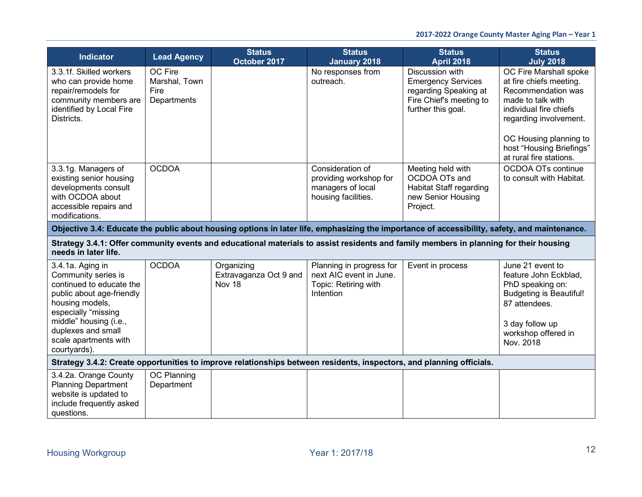| <b>Indicator</b>                                                                                                                                                                         | <b>Lead Agency</b>                              | <b>Status</b><br>October 2017        | <b>Status</b><br><b>January 2018</b>                                                                                                         | <b>Status</b><br><b>April 2018</b>                                                                                     | <b>Status</b><br><b>July 2018</b>                                                                                                                                                                                                 |
|------------------------------------------------------------------------------------------------------------------------------------------------------------------------------------------|-------------------------------------------------|--------------------------------------|----------------------------------------------------------------------------------------------------------------------------------------------|------------------------------------------------------------------------------------------------------------------------|-----------------------------------------------------------------------------------------------------------------------------------------------------------------------------------------------------------------------------------|
| 3.3.1f. Skilled workers<br>who can provide home<br>repair/remodels for<br>community members are<br>identified by Local Fire<br>Districts.                                                | OC Fire<br>Marshal, Town<br>Fire<br>Departments |                                      | No responses from<br>outreach.                                                                                                               | Discussion with<br><b>Emergency Services</b><br>regarding Speaking at<br>Fire Chief's meeting to<br>further this goal. | OC Fire Marshall spoke<br>at fire chiefs meeting.<br>Recommendation was<br>made to talk with<br>individual fire chiefs<br>regarding involvement.<br>OC Housing planning to<br>host "Housing Briefings"<br>at rural fire stations. |
| 3.3.1g. Managers of<br>existing senior housing<br>developments consult<br>with OCDOA about<br>accessible repairs and<br>modifications.                                                   | <b>OCDOA</b>                                    |                                      | Consideration of<br>providing workshop for<br>managers of local<br>housing facilities.                                                       | Meeting held with<br>OCDOA OTs and<br><b>Habitat Staff regarding</b><br>new Senior Housing<br>Project.                 | OCDOA OTs continue<br>to consult with Habitat.                                                                                                                                                                                    |
|                                                                                                                                                                                          |                                                 |                                      | Objective 3.4: Educate the public about housing options in later life, emphasizing the importance of accessibility, safety, and maintenance. |                                                                                                                        |                                                                                                                                                                                                                                   |
| needs in later life.                                                                                                                                                                     |                                                 |                                      | Strategy 3.4.1: Offer community events and educational materials to assist residents and family members in planning for their housing        |                                                                                                                        |                                                                                                                                                                                                                                   |
| 3.4.1a. Aging in<br>Community series is                                                                                                                                                  | <b>OCDOA</b>                                    | Organizing<br>Extravaganza Oct 9 and | Planning in progress for<br>next AIC event in June.                                                                                          | Event in process                                                                                                       | June 21 event to<br>feature John Eckblad,                                                                                                                                                                                         |
| continued to educate the<br>public about age-friendly<br>housing models,<br>especially "missing<br>middle" housing (i.e.,<br>duplexes and small<br>scale apartments with<br>courtyards). |                                                 | Nov 18                               | Topic: Retiring with<br>Intention                                                                                                            |                                                                                                                        | PhD speaking on:<br><b>Budgeting is Beautiful!</b><br>87 attendees.<br>3 day follow up<br>workshop offered in<br>Nov. 2018                                                                                                        |
| 3.4.2a. Orange County                                                                                                                                                                    | OC Planning                                     |                                      | Strategy 3.4.2: Create opportunities to improve relationships between residents, inspectors, and planning officials.                         |                                                                                                                        |                                                                                                                                                                                                                                   |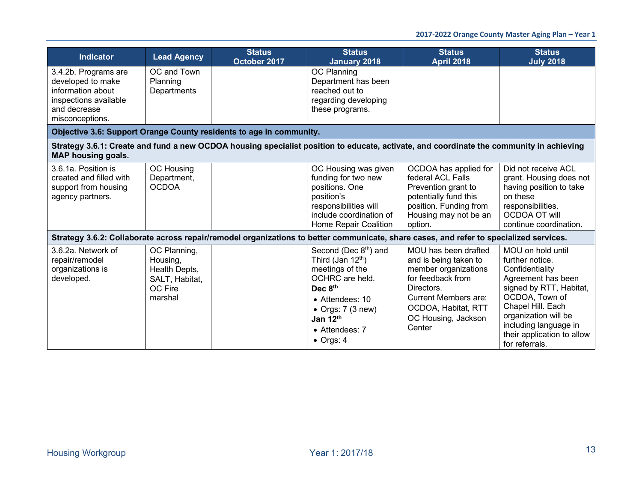| <b>Indicator</b>                                                                                                           | <b>Lead Agency</b>                                                                | <b>Status</b><br>October 2017                                                                                                           | <b>Status</b><br><b>January 2018</b>                                                                                                                                                                           | <b>Status</b><br><b>April 2018</b>                                                                                                                                                              | <b>Status</b><br><b>July 2018</b>                                                                                                                                                                                                                |
|----------------------------------------------------------------------------------------------------------------------------|-----------------------------------------------------------------------------------|-----------------------------------------------------------------------------------------------------------------------------------------|----------------------------------------------------------------------------------------------------------------------------------------------------------------------------------------------------------------|-------------------------------------------------------------------------------------------------------------------------------------------------------------------------------------------------|--------------------------------------------------------------------------------------------------------------------------------------------------------------------------------------------------------------------------------------------------|
| 3.4.2b. Programs are<br>developed to make<br>information about<br>inspections available<br>and decrease<br>misconceptions. | OC and Town<br>Planning<br>Departments                                            |                                                                                                                                         | OC Planning<br>Department has been<br>reached out to<br>regarding developing<br>these programs.                                                                                                                |                                                                                                                                                                                                 |                                                                                                                                                                                                                                                  |
|                                                                                                                            |                                                                                   | Objective 3.6: Support Orange County residents to age in community.                                                                     |                                                                                                                                                                                                                |                                                                                                                                                                                                 |                                                                                                                                                                                                                                                  |
| <b>MAP housing goals.</b>                                                                                                  |                                                                                   | Strategy 3.6.1: Create and fund a new OCDOA housing specialist position to educate, activate, and coordinate the community in achieving |                                                                                                                                                                                                                |                                                                                                                                                                                                 |                                                                                                                                                                                                                                                  |
| 3.6.1a. Position is<br>created and filled with<br>support from housing<br>agency partners.                                 | OC Housing<br>Department,<br><b>OCDOA</b>                                         |                                                                                                                                         | OC Housing was given<br>funding for two new<br>positions. One<br>position's<br>responsibilities will<br>include coordination of<br>Home Repair Coalition                                                       | OCDOA has applied for<br>federal ACL Falls<br>Prevention grant to<br>potentially fund this<br>position. Funding from<br>Housing may not be an<br>option.                                        | Did not receive ACL<br>grant. Housing does not<br>having position to take<br>on these<br>responsibilities.<br>OCDOA OT will<br>continue coordination.                                                                                            |
|                                                                                                                            |                                                                                   | Strategy 3.6.2: Collaborate across repair/remodel organizations to better communicate, share cases, and refer to specialized services.  |                                                                                                                                                                                                                |                                                                                                                                                                                                 |                                                                                                                                                                                                                                                  |
| 3.6.2a. Network of<br>repair/remodel<br>organizations is<br>developed.                                                     | OC Planning,<br>Housing,<br>Health Depts,<br>SALT, Habitat,<br>OC Fire<br>marshal |                                                                                                                                         | Second (Dec 8 <sup>th</sup> ) and<br>Third (Jan 12th)<br>meetings of the<br>OCHRC are held.<br>Dec 8 <sup>th</sup><br>• Attendees: 10<br>• Orgs: $7(3 new)$<br>Jan 12th<br>• Attendees: 7<br>$\bullet$ Orgs: 4 | MOU has been drafted<br>and is being taken to<br>member organizations<br>for feedback from<br>Directors.<br><b>Current Members are:</b><br>OCDOA, Habitat, RTT<br>OC Housing, Jackson<br>Center | MOU on hold until<br>further notice.<br>Confidentiality<br>Agreement has been<br>signed by RTT, Habitat,<br>OCDOA, Town of<br>Chapel Hill. Each<br>organization will be<br>including language in<br>their application to allow<br>for referrals. |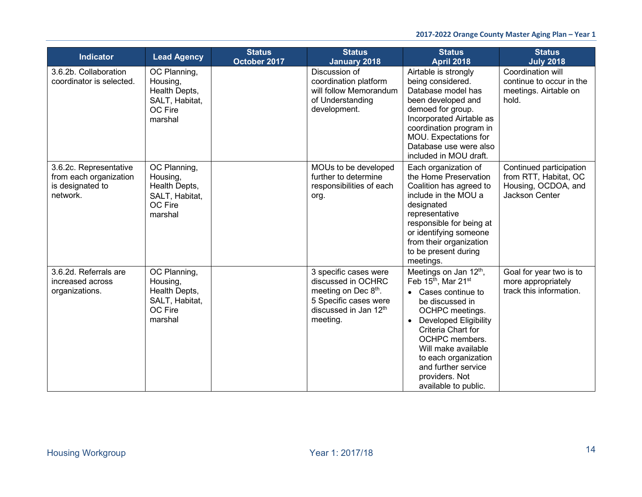| <b>Indicator</b>                                                                 | <b>Lead Agency</b>                                                                | <b>Status</b><br>October 2017 | <b>Status</b><br><b>January 2018</b>                                                                                             | <b>Status</b><br><b>April 2018</b>                                                                                                                                                                                                                                                                                                     | <b>Status</b><br><b>July 2018</b>                                                                |
|----------------------------------------------------------------------------------|-----------------------------------------------------------------------------------|-------------------------------|----------------------------------------------------------------------------------------------------------------------------------|----------------------------------------------------------------------------------------------------------------------------------------------------------------------------------------------------------------------------------------------------------------------------------------------------------------------------------------|--------------------------------------------------------------------------------------------------|
| 3.6.2b. Collaboration<br>coordinator is selected.                                | OC Planning,<br>Housing,<br>Health Depts,<br>SALT, Habitat,<br>OC Fire<br>marshal |                               | Discussion of<br>coordination platform<br>will follow Memorandum<br>of Understanding<br>development.                             | Airtable is strongly<br>being considered.<br>Database model has<br>been developed and<br>demoed for group.<br>Incorporated Airtable as<br>coordination program in<br>MOU. Expectations for<br>Database use were also<br>included in MOU draft.                                                                                         | Coordination will<br>continue to occur in the<br>meetings. Airtable on<br>hold.                  |
| 3.6.2c. Representative<br>from each organization<br>is designated to<br>network. | OC Planning,<br>Housing,<br>Health Depts,<br>SALT, Habitat,<br>OC Fire<br>marshal |                               | MOUs to be developed<br>further to determine<br>responsibilities of each<br>org.                                                 | Each organization of<br>the Home Preservation<br>Coalition has agreed to<br>include in the MOU a<br>designated<br>representative<br>responsible for being at<br>or identifying someone<br>from their organization<br>to be present during<br>meetings.                                                                                 | Continued participation<br>from RTT, Habitat, OC<br>Housing, OCDOA, and<br><b>Jackson Center</b> |
| 3.6.2d. Referrals are<br>increased across<br>organizations.                      | OC Planning,<br>Housing,<br>Health Depts,<br>SALT, Habitat,<br>OC Fire<br>marshal |                               | 3 specific cases were<br>discussed in OCHRC<br>meeting on Dec 8th.<br>5 Specific cases were<br>discussed in Jan 12th<br>meeting. | Meetings on Jan 12th,<br>Feb 15 <sup>th</sup> , Mar 21 <sup>st</sup><br>• Cases continue to<br>be discussed in<br>OCHPC meetings.<br><b>Developed Eligibility</b><br>$\bullet$<br>Criteria Chart for<br>OCHPC members.<br>Will make available<br>to each organization<br>and further service<br>providers. Not<br>available to public. | Goal for year two is to<br>more appropriately<br>track this information.                         |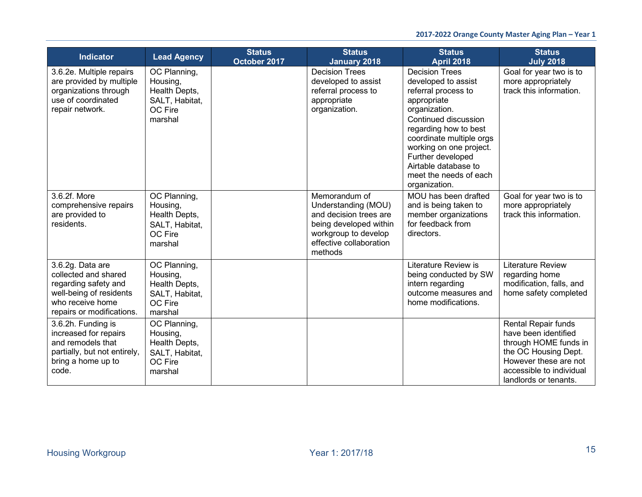| <b>Indicator</b>                                                                                                                             | <b>Lead Agency</b>                                                                | <b>Status</b><br>October 2017 | <b>Status</b><br><b>January 2018</b>                                                                                                                   | <b>Status</b><br><b>April 2018</b>                                                                                                                                                                                                                                                                  | <b>Status</b><br><b>July 2018</b>                                                                                                                                                 |
|----------------------------------------------------------------------------------------------------------------------------------------------|-----------------------------------------------------------------------------------|-------------------------------|--------------------------------------------------------------------------------------------------------------------------------------------------------|-----------------------------------------------------------------------------------------------------------------------------------------------------------------------------------------------------------------------------------------------------------------------------------------------------|-----------------------------------------------------------------------------------------------------------------------------------------------------------------------------------|
| 3.6.2e. Multiple repairs<br>are provided by multiple<br>organizations through<br>use of coordinated<br>repair network.                       | OC Planning,<br>Housing,<br>Health Depts,<br>SALT, Habitat,<br>OC Fire<br>marshal |                               | <b>Decision Trees</b><br>developed to assist<br>referral process to<br>appropriate<br>organization.                                                    | <b>Decision Trees</b><br>developed to assist<br>referral process to<br>appropriate<br>organization.<br>Continued discussion<br>regarding how to best<br>coordinate multiple orgs<br>working on one project.<br>Further developed<br>Airtable database to<br>meet the needs of each<br>organization. | Goal for year two is to<br>more appropriately<br>track this information.                                                                                                          |
| 3.6.2f. More<br>comprehensive repairs<br>are provided to<br>residents.                                                                       | OC Planning,<br>Housing,<br>Health Depts,<br>SALT, Habitat,<br>OC Fire<br>marshal |                               | Memorandum of<br>Understanding (MOU)<br>and decision trees are<br>being developed within<br>workgroup to develop<br>effective collaboration<br>methods | MOU has been drafted<br>and is being taken to<br>member organizations<br>for feedback from<br>directors.                                                                                                                                                                                            | Goal for year two is to<br>more appropriately<br>track this information.                                                                                                          |
| 3.6.2g. Data are<br>collected and shared<br>regarding safety and<br>well-being of residents<br>who receive home<br>repairs or modifications. | OC Planning,<br>Housing,<br>Health Depts,<br>SALT, Habitat,<br>OC Fire<br>marshal |                               |                                                                                                                                                        | Literature Review is<br>being conducted by SW<br>intern regarding<br>outcome measures and<br>home modifications.                                                                                                                                                                                    | <b>Literature Review</b><br>regarding home<br>modification, falls, and<br>home safety completed                                                                                   |
| 3.6.2h. Funding is<br>increased for repairs<br>and remodels that<br>partially, but not entirely,<br>bring a home up to<br>code.              | OC Planning,<br>Housing,<br>Health Depts,<br>SALT, Habitat,<br>OC Fire<br>marshal |                               |                                                                                                                                                        |                                                                                                                                                                                                                                                                                                     | <b>Rental Repair funds</b><br>have been identified<br>through HOME funds in<br>the OC Housing Dept.<br>However these are not<br>accessible to individual<br>landlords or tenants. |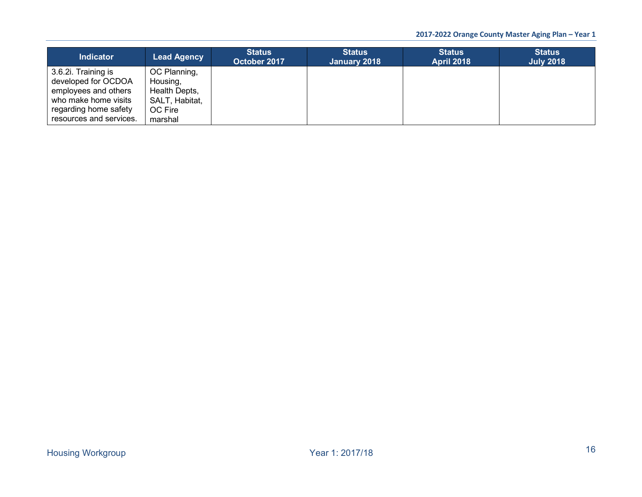| <b>Indicator</b>                                                                                                                               | Lead Agency                                                                       | <b>Status</b><br>October 2017 | <b>Status</b><br>January 2018 | <b>Status</b><br><b>April 2018</b> | <b>Status</b><br><b>July 2018</b> |
|------------------------------------------------------------------------------------------------------------------------------------------------|-----------------------------------------------------------------------------------|-------------------------------|-------------------------------|------------------------------------|-----------------------------------|
| 3.6.2i. Training is<br>developed for OCDOA<br>employees and others<br>who make home visits<br>regarding home safety<br>resources and services. | OC Planning,<br>Housing,<br>Health Depts,<br>SALT, Habitat,<br>OC Fire<br>marshal |                               |                               |                                    |                                   |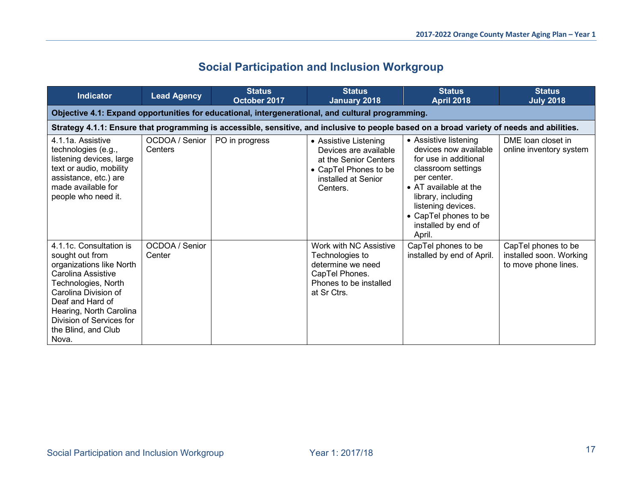## **Social Participation and Inclusion Workgroup**

| <b>Indicator</b>                                                                                                                                                                                                                                       | <b>Lead Agency</b>                                                                                | <b>Status</b><br>October 2017 | <b>Status</b><br><b>January 2018</b>                                                                                                | <b>Status</b><br><b>April 2018</b>                                                                                                                                                                                                          | <b>Status</b><br><b>July 2018</b>                                      |  |  |  |  |  |
|--------------------------------------------------------------------------------------------------------------------------------------------------------------------------------------------------------------------------------------------------------|---------------------------------------------------------------------------------------------------|-------------------------------|-------------------------------------------------------------------------------------------------------------------------------------|---------------------------------------------------------------------------------------------------------------------------------------------------------------------------------------------------------------------------------------------|------------------------------------------------------------------------|--|--|--|--|--|
|                                                                                                                                                                                                                                                        | Objective 4.1: Expand opportunities for educational, intergenerational, and cultural programming. |                               |                                                                                                                                     |                                                                                                                                                                                                                                             |                                                                        |  |  |  |  |  |
|                                                                                                                                                                                                                                                        |                                                                                                   |                               |                                                                                                                                     | Strategy 4.1.1: Ensure that programming is accessible, sensitive, and inclusive to people based on a broad variety of needs and abilities.                                                                                                  |                                                                        |  |  |  |  |  |
| 4.1.1a. Assistive<br>technologies (e.g.,<br>listening devices, large<br>text or audio, mobility<br>assistance, etc.) are<br>made available for<br>people who need it.                                                                                  | OCDOA / Senior<br>Centers                                                                         | PO in progress                | • Assistive Listening<br>Devices are available<br>at the Senior Centers<br>• CapTel Phones to be<br>installed at Senior<br>Centers. | • Assistive listening<br>devices now available<br>for use in additional<br>classroom settings<br>per center.<br>• AT available at the<br>library, including<br>listening devices.<br>• CapTel phones to be<br>installed by end of<br>April. | DME loan closet in<br>online inventory system                          |  |  |  |  |  |
| 4.1.1c. Consultation is<br>sought out from<br>organizations like North<br>Carolina Assistive<br>Technologies, North<br>Carolina Division of<br>Deaf and Hard of<br>Hearing, North Carolina<br>Division of Services for<br>the Blind, and Club<br>Nova. | OCDOA / Senior<br>Center                                                                          |                               | Work with NC Assistive<br>Technologies to<br>determine we need<br>CapTel Phones.<br>Phones to be installed<br>at Sr Ctrs.           | CapTel phones to be<br>installed by end of April.                                                                                                                                                                                           | CapTel phones to be<br>installed soon. Working<br>to move phone lines. |  |  |  |  |  |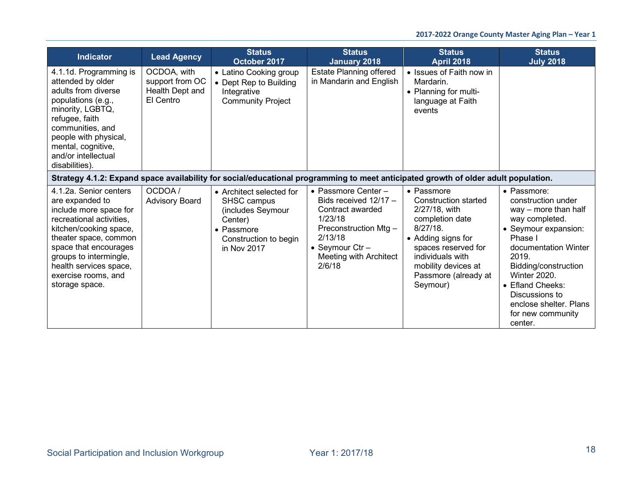| <b>Indicator</b>                                                                                                                                                                                                                                                         | <b>Lead Agency</b>                                             | <b>Status</b><br>October 2017                                                                                                      | <b>Status</b><br><b>January 2018</b>                                                                                                                                                   | <b>Status</b><br><b>April 2018</b>                                                                                                                                                                                       | <b>Status</b><br><b>July 2018</b>                                                                                                                                                                                                                                                              |
|--------------------------------------------------------------------------------------------------------------------------------------------------------------------------------------------------------------------------------------------------------------------------|----------------------------------------------------------------|------------------------------------------------------------------------------------------------------------------------------------|----------------------------------------------------------------------------------------------------------------------------------------------------------------------------------------|--------------------------------------------------------------------------------------------------------------------------------------------------------------------------------------------------------------------------|------------------------------------------------------------------------------------------------------------------------------------------------------------------------------------------------------------------------------------------------------------------------------------------------|
| 4.1.1d. Programming is<br>attended by older<br>adults from diverse<br>populations (e.g.,<br>minority, LGBTQ,<br>refugee, faith<br>communities, and<br>people with physical,<br>mental, cognitive,<br>and/or intellectual<br>disabilities).                               | OCDOA, with<br>support from OC<br>Health Dept and<br>El Centro | • Latino Cooking group<br>• Dept Rep to Building<br>Integrative<br><b>Community Project</b>                                        | <b>Estate Planning offered</b><br>in Mandarin and English                                                                                                                              | • Issues of Faith now in<br>Mardarin.<br>• Planning for multi-<br>language at Faith<br>events                                                                                                                            |                                                                                                                                                                                                                                                                                                |
|                                                                                                                                                                                                                                                                          |                                                                | Strategy 4.1.2: Expand space availability for social/educational programming to meet anticipated growth of older adult population. |                                                                                                                                                                                        |                                                                                                                                                                                                                          |                                                                                                                                                                                                                                                                                                |
| 4.1.2a. Senior centers<br>are expanded to<br>include more space for<br>recreational activities,<br>kitchen/cooking space,<br>theater space, common<br>space that encourages<br>groups to intermingle,<br>health services space,<br>exercise rooms, and<br>storage space. | OCDOA/<br><b>Advisory Board</b>                                | • Architect selected for<br>SHSC campus<br>(includes Seymour<br>Center)<br>• Passmore<br>Construction to begin<br>in Nov 2017      | $\bullet$ Passmore Center -<br>Bids received 12/17 -<br>Contract awarded<br>1/23/18<br>Preconstruction Mtg-<br>2/13/18<br>• Seymour $Ctr -$<br><b>Meeting with Architect</b><br>2/6/18 | • Passmore<br><b>Construction started</b><br>2/27/18, with<br>completion date<br>$8/27/18$ .<br>• Adding signs for<br>spaces reserved for<br>individuals with<br>mobility devices at<br>Passmore (already at<br>Seymour) | • Passmore:<br>construction under<br>way - more than half<br>way completed.<br>• Seymour expansion:<br>Phase I<br>documentation Winter<br>2019.<br>Bidding/construction<br><b>Winter 2020.</b><br>• Efland Cheeks:<br>Discussions to<br>enclose shelter. Plans<br>for new community<br>center. |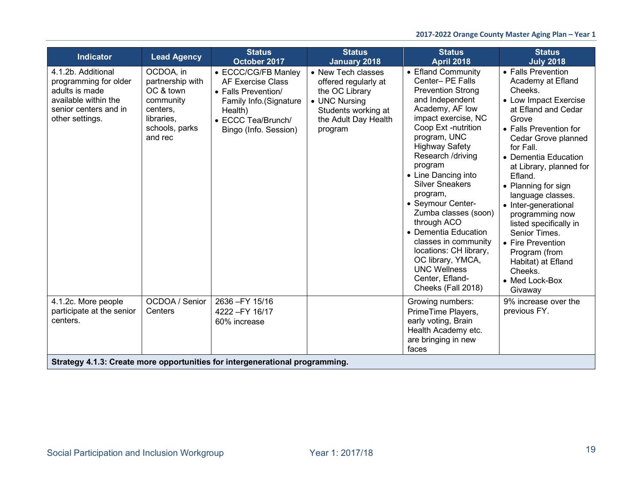| <b>Indicator</b>                                                                                                                  | <b>Lead Agency</b>                                                                                             | <b>Status</b><br>October 2017                                                                                                                               | <b>Status</b><br>January 2018                                                                                                           | <b>Status</b><br><b>April 2018</b>                                                                                                                                                                                                                                                                                                                                                                                                                                                                                      | <b>Status</b><br><b>July 2018</b>                                                                                                                                                                                                                                                                                                                                                                                                                                            |
|-----------------------------------------------------------------------------------------------------------------------------------|----------------------------------------------------------------------------------------------------------------|-------------------------------------------------------------------------------------------------------------------------------------------------------------|-----------------------------------------------------------------------------------------------------------------------------------------|-------------------------------------------------------------------------------------------------------------------------------------------------------------------------------------------------------------------------------------------------------------------------------------------------------------------------------------------------------------------------------------------------------------------------------------------------------------------------------------------------------------------------|------------------------------------------------------------------------------------------------------------------------------------------------------------------------------------------------------------------------------------------------------------------------------------------------------------------------------------------------------------------------------------------------------------------------------------------------------------------------------|
| 4.1.2b. Additional<br>programming for older<br>adults is made<br>available within the<br>senior centers and in<br>other settings. | OCDOA, in<br>partnership with<br>OC & town<br>community<br>centers,<br>libraries,<br>schools, parks<br>and rec | • ECCC/CG/FB Manley<br><b>AF Exercise Class</b><br>• Falls Prevention/<br>Family Info. (Signature<br>Health)<br>• ECCC Tea/Brunch/<br>Bingo (Info. Session) | • New Tech classes<br>offered regularly at<br>the OC Library<br>• UNC Nursing<br>Students working at<br>the Adult Day Health<br>program | • Efland Community<br>Center- PE Falls<br><b>Prevention Strong</b><br>and Independent<br>Academy, AF low<br>impact exercise, NC<br>Coop Ext -nutrition<br>program, UNC<br><b>Highway Safety</b><br>Research /driving<br>program<br>• Line Dancing into<br><b>Silver Sneakers</b><br>program,<br>• Seymour Center-<br>Zumba classes (soon)<br>through ACO<br>• Dementia Education<br>classes in community<br>locations: CH library,<br>OC library, YMCA,<br><b>UNC Wellness</b><br>Center, Efland-<br>Cheeks (Fall 2018) | • Falls Prevention<br>Academy at Efland<br>Cheeks.<br>• Low Impact Exercise<br>at Efland and Cedar<br>Grove<br>• Falls Prevention for<br>Cedar Grove planned<br>for Fall<br>• Dementia Education<br>at Library, planned for<br>Efland.<br>• Planning for sign<br>language classes.<br>• Inter-generational<br>programming now<br>listed specifically in<br>Senior Times.<br>• Fire Prevention<br>Program (from<br>Habitat) at Efland<br>Cheeks.<br>• Med Lock-Box<br>Givaway |
| 4.1.2c. More people<br>participate at the senior<br>centers.                                                                      | OCDOA / Senior<br>Centers                                                                                      | 2636 - FY 15/16<br>4222 - FY 16/17<br>60% increase<br>Strategy 4.1.3: Create more opportunities for intergenerational programming.                          |                                                                                                                                         | Growing numbers:<br>PrimeTime Players,<br>early voting, Brain<br>Health Academy etc.<br>are bringing in new<br>faces                                                                                                                                                                                                                                                                                                                                                                                                    | 9% increase over the<br>previous FY.                                                                                                                                                                                                                                                                                                                                                                                                                                         |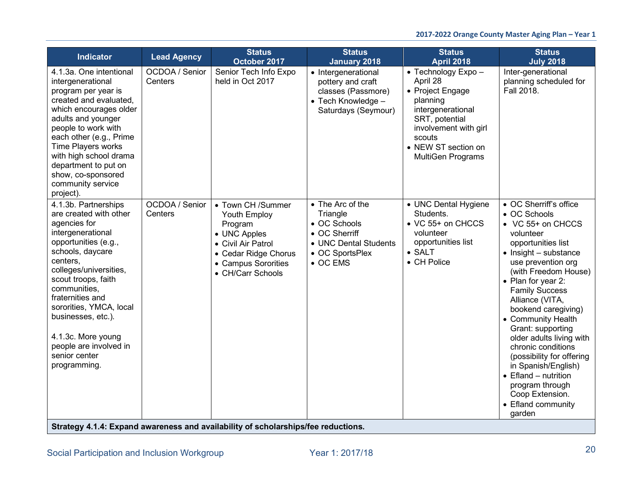| <b>Indicator</b>                                                                                                                                                                                                                                                                                                                                                   | <b>Lead Agency</b>        | <b>Status</b><br>October 2017                                                                                                                          | <b>Status</b><br><b>January 2018</b>                                                                                          | <b>Status</b><br><b>April 2018</b>                                                                                                                                                                   | <b>Status</b><br><b>July 2018</b>                                                                                                                                                                                                                                                                                                                                                                                                                                                                                             |
|--------------------------------------------------------------------------------------------------------------------------------------------------------------------------------------------------------------------------------------------------------------------------------------------------------------------------------------------------------------------|---------------------------|--------------------------------------------------------------------------------------------------------------------------------------------------------|-------------------------------------------------------------------------------------------------------------------------------|------------------------------------------------------------------------------------------------------------------------------------------------------------------------------------------------------|-------------------------------------------------------------------------------------------------------------------------------------------------------------------------------------------------------------------------------------------------------------------------------------------------------------------------------------------------------------------------------------------------------------------------------------------------------------------------------------------------------------------------------|
| 4.1.3a. One intentional<br>intergenerational<br>program per year is<br>created and evaluated,<br>which encourages older<br>adults and younger<br>people to work with<br>each other (e.g., Prime<br><b>Time Players works</b><br>with high school drama<br>department to put on<br>show, co-sponsored<br>community service<br>project).                             | OCDOA / Senior<br>Centers | Senior Tech Info Expo<br>held in Oct 2017                                                                                                              | • Intergenerational<br>pottery and craft<br>classes (Passmore)<br>• Tech Knowledge -<br>Saturdays (Seymour)                   | $\bullet$ Technology Expo -<br>April 28<br>• Project Engage<br>planning<br>intergenerational<br>SRT, potential<br>involvement with girl<br>scouts<br>• NEW ST section on<br><b>MultiGen Programs</b> | Inter-generational<br>planning scheduled for<br>Fall 2018.                                                                                                                                                                                                                                                                                                                                                                                                                                                                    |
| 4.1.3b. Partnerships<br>are created with other<br>agencies for<br>intergenerational<br>opportunities (e.g.,<br>schools, daycare<br>centers,<br>colleges/universities,<br>scout troops, faith<br>communities,<br>fraternities and<br>sororities, YMCA, local<br>businesses, etc.).<br>4.1.3c. More young<br>people are involved in<br>senior center<br>programming. | OCDOA / Senior<br>Centers | • Town CH /Summer<br>Youth Employ<br>Program<br>• UNC Apples<br>• Civil Air Patrol<br>• Cedar Ridge Chorus<br>• Campus Sororities<br>• CH/Carr Schools | • The Arc of the<br>Triangle<br>• OC Schools<br>• OC Sherriff<br>• UNC Dental Students<br>• OC SportsPlex<br>$\bullet$ OC EMS | • UNC Dental Hygiene<br>Students.<br>• VC 55+ on CHCCS<br>volunteer<br>opportunities list<br>$\bullet$ SALT<br>• CH Police                                                                           | • OC Sherriff's office<br>• OC Schools<br>• VC 55+ on CHCCS<br>volunteer<br>opportunities list<br>$\bullet$ Insight - substance<br>use prevention org<br>(with Freedom House)<br>• Plan for year 2:<br><b>Family Success</b><br>Alliance (VITA,<br>bookend caregiving)<br>• Community Health<br>Grant: supporting<br>older adults living with<br>chronic conditions<br>(possibility for offering<br>in Spanish/English)<br>$\bullet$ Efland - nutrition<br>program through<br>Coop Extension.<br>• Efland community<br>garden |
|                                                                                                                                                                                                                                                                                                                                                                    |                           | Strategy 4.1.4: Expand awareness and availability of scholarships/fee reductions.                                                                      |                                                                                                                               |                                                                                                                                                                                                      |                                                                                                                                                                                                                                                                                                                                                                                                                                                                                                                               |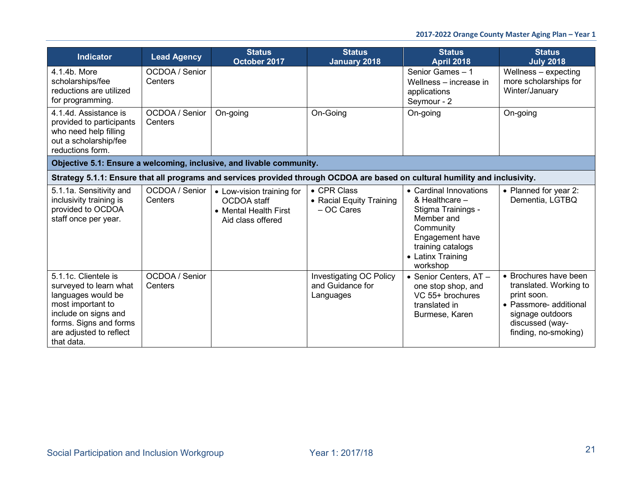| <b>Indicator</b>                                                                                                                                                                     | <b>Lead Agency</b>        | <b>Status</b><br>October 2017                                                          | <b>Status</b><br><b>January 2018</b>                            | <b>Status</b><br><b>April 2018</b>                                                                                                                                 | <b>Status</b><br><b>July 2018</b>                                                                                                                       |
|--------------------------------------------------------------------------------------------------------------------------------------------------------------------------------------|---------------------------|----------------------------------------------------------------------------------------|-----------------------------------------------------------------|--------------------------------------------------------------------------------------------------------------------------------------------------------------------|---------------------------------------------------------------------------------------------------------------------------------------------------------|
| 4.1.4b. More<br>scholarships/fee<br>reductions are utilized<br>for programming.                                                                                                      | OCDOA / Senior<br>Centers |                                                                                        |                                                                 | Senior Games - 1<br>Wellness - increase in<br>applications<br>Seymour - 2                                                                                          | Wellness - expecting<br>more scholarships for<br>Winter/January                                                                                         |
| 4.1.4d. Assistance is<br>provided to participants<br>who need help filling<br>out a scholarship/fee<br>reductions form.                                                              | OCDOA / Senior<br>Centers | On-going                                                                               | On-Going                                                        | On-going                                                                                                                                                           | On-going                                                                                                                                                |
|                                                                                                                                                                                      |                           | Objective 5.1: Ensure a welcoming, inclusive, and livable community.                   |                                                                 |                                                                                                                                                                    |                                                                                                                                                         |
|                                                                                                                                                                                      |                           |                                                                                        |                                                                 | Strategy 5.1.1: Ensure that all programs and services provided through OCDOA are based on cultural humility and inclusivity.                                       |                                                                                                                                                         |
| 5.1.1a. Sensitivity and<br>inclusivity training is<br>provided to OCDOA<br>staff once per year.                                                                                      | OCDOA / Senior<br>Centers | • Low-vision training for<br>OCDOA staff<br>• Mental Health First<br>Aid class offered | • CPR Class<br>• Racial Equity Training<br>$-OC$ Cares          | • Cardinal Innovations<br>& Healthcare -<br>Stigma Trainings -<br>Member and<br>Community<br>Engagement have<br>training catalogs<br>• Latinx Training<br>workshop | • Planned for year 2:<br>Dementia, LGTBQ                                                                                                                |
| 5.1.1c. Clientele is<br>surveyed to learn what<br>languages would be<br>most important to<br>include on signs and<br>forms. Signs and forms<br>are adjusted to reflect<br>that data. | OCDOA / Senior<br>Centers |                                                                                        | <b>Investigating OC Policy</b><br>and Guidance for<br>Languages | • Senior Centers, AT -<br>one stop shop, and<br>VC 55+ brochures<br>translated in<br>Burmese, Karen                                                                | • Brochures have been<br>translated. Working to<br>print soon.<br>• Passmore- additional<br>signage outdoors<br>discussed (way-<br>finding, no-smoking) |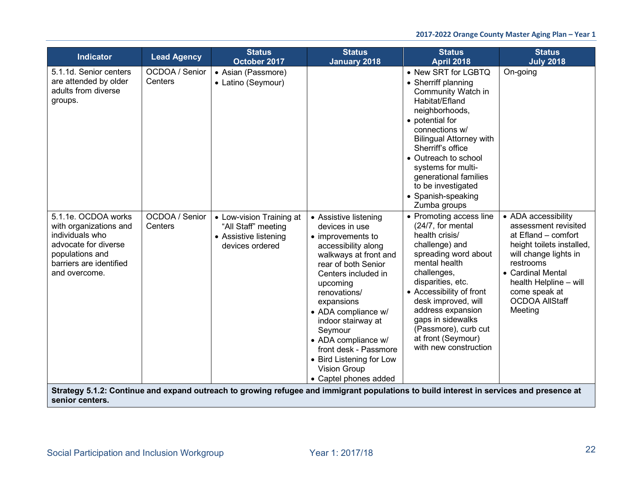| <b>Indicator</b>                                                                                                                                        | <b>Lead Agency</b>        | <b>Status</b><br>October 2017                                                               | <b>Status</b><br><b>January 2018</b>                                                                                                                                                                                                                                                                                                                                              | <b>Status</b><br><b>April 2018</b>                                                                                                                                                                                                                                                                                                  | <b>Status</b><br><b>July 2018</b>                                                                                                                                                                                                         |
|---------------------------------------------------------------------------------------------------------------------------------------------------------|---------------------------|---------------------------------------------------------------------------------------------|-----------------------------------------------------------------------------------------------------------------------------------------------------------------------------------------------------------------------------------------------------------------------------------------------------------------------------------------------------------------------------------|-------------------------------------------------------------------------------------------------------------------------------------------------------------------------------------------------------------------------------------------------------------------------------------------------------------------------------------|-------------------------------------------------------------------------------------------------------------------------------------------------------------------------------------------------------------------------------------------|
| 5.1.1d. Senior centers<br>are attended by older<br>adults from diverse<br>groups.                                                                       | OCDOA / Senior<br>Centers | • Asian (Passmore)<br>• Latino (Seymour)                                                    |                                                                                                                                                                                                                                                                                                                                                                                   | • New SRT for LGBTQ<br>• Sherriff planning<br>Community Watch in<br>Habitat/Efland<br>neighborhoods,<br>• potential for<br>connections w/<br><b>Bilingual Attorney with</b><br>Sherriff's office<br>• Outreach to school<br>systems for multi-<br>generational families<br>to be investigated<br>• Spanish-speaking<br>Zumba groups | On-going                                                                                                                                                                                                                                  |
| 5.1.1e. OCDOA works<br>with organizations and<br>individuals who<br>advocate for diverse<br>populations and<br>barriers are identified<br>and overcome. | OCDOA / Senior<br>Centers | • Low-vision Training at<br>"All Staff" meeting<br>• Assistive listening<br>devices ordered | • Assistive listening<br>devices in use<br>• improvements to<br>accessibility along<br>walkways at front and<br>rear of both Senior<br>Centers included in<br>upcoming<br>renovations/<br>expansions<br>• ADA compliance w/<br>indoor stairway at<br>Seymour<br>• ADA compliance w/<br>front desk - Passmore<br>• Bird Listening for Low<br>Vision Group<br>• Captel phones added | • Promoting access line<br>(24/7, for mental<br>health crisis/<br>challenge) and<br>spreading word about<br>mental health<br>challenges,<br>disparities, etc.<br>• Accessibility of front<br>desk improved, will<br>address expansion<br>gaps in sidewalks<br>(Passmore), curb cut<br>at front (Seymour)<br>with new construction   | • ADA accessibility<br>assessment revisited<br>at Efland – comfort<br>height toilets installed,<br>will change lights in<br>restrooms<br>• Cardinal Mental<br>health Helpline - will<br>come speak at<br><b>OCDOA AllStaff</b><br>Meeting |
|                                                                                                                                                         |                           |                                                                                             |                                                                                                                                                                                                                                                                                                                                                                                   | Strategy 5.1.2: Continue and expand outreach to growing refugee and immigrant populations to build interest in services and presence at                                                                                                                                                                                             |                                                                                                                                                                                                                                           |

**Strategy 5.1.2: Continue and expand outreach to growing refugee and immigrant populations to build interest in services and presence at senior centers.**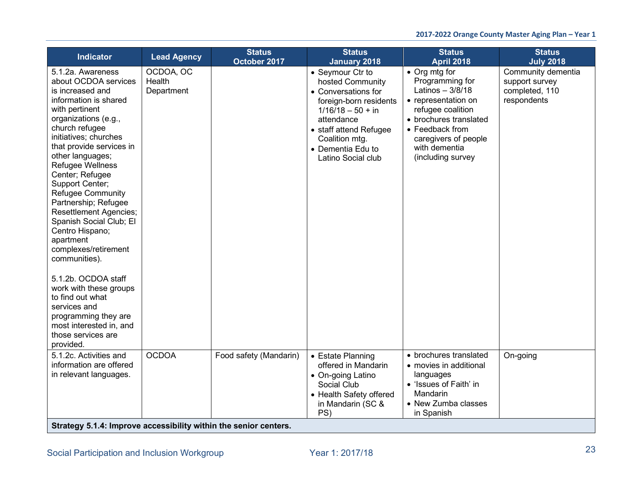| <b>Indicator</b>                                                                                                                                                                                                                                                                                                                                                                                                                                                                                      | <b>Lead Agency</b>                | <b>Status</b><br>October 2017               | <b>Status</b><br><b>January 2018</b>                                                                                                                                                                              | <b>Status</b><br><b>April 2018</b>                                                                                                                                                                                   | <b>Status</b><br><b>July 2018</b>                                     |
|-------------------------------------------------------------------------------------------------------------------------------------------------------------------------------------------------------------------------------------------------------------------------------------------------------------------------------------------------------------------------------------------------------------------------------------------------------------------------------------------------------|-----------------------------------|---------------------------------------------|-------------------------------------------------------------------------------------------------------------------------------------------------------------------------------------------------------------------|----------------------------------------------------------------------------------------------------------------------------------------------------------------------------------------------------------------------|-----------------------------------------------------------------------|
| 5.1.2a. Awareness<br>about OCDOA services<br>is increased and<br>information is shared<br>with pertinent<br>organizations (e.g.,<br>church refugee<br>initiatives; churches<br>that provide services in<br>other languages;<br>Refugee Wellness<br>Center; Refugee<br>Support Center;<br><b>Refugee Community</b><br>Partnership; Refugee<br><b>Resettlement Agencies;</b><br>Spanish Social Club; El<br>Centro Hispano;<br>apartment<br>complexes/retirement<br>communities).<br>5.1.2b. OCDOA staff | OCDOA, OC<br>Health<br>Department |                                             | • Seymour Ctr to<br>hosted Community<br>• Conversations for<br>foreign-born residents<br>$1/16/18 - 50 + in$<br>attendance<br>• staff attend Refugee<br>Coalition mtg.<br>• Dementia Edu to<br>Latino Social club | $\bullet$ Org mtg for<br>Programming for<br>Latinos $-3/8/18$<br>• representation on<br>refugee coalition<br>• brochures translated<br>• Feedback from<br>caregivers of people<br>with dementia<br>(including survey | Community dementia<br>support survey<br>completed, 110<br>respondents |
| work with these groups<br>to find out what<br>services and<br>programming they are<br>most interested in, and<br>those services are<br>provided.                                                                                                                                                                                                                                                                                                                                                      |                                   |                                             |                                                                                                                                                                                                                   |                                                                                                                                                                                                                      |                                                                       |
| 5.1.2c. Activities and<br>information are offered<br>in relevant languages.                                                                                                                                                                                                                                                                                                                                                                                                                           | <b>OCDOA</b>                      | Food safety (Mandarin)                      | • Estate Planning<br>offered in Mandarin<br>• On-going Latino<br>Social Club<br>• Health Safety offered<br>in Mandarin (SC &<br>PS)                                                                               | • brochures translated<br>• movies in additional<br>languages<br>• 'Issues of Faith' in<br>Mandarin<br>• New Zumba classes<br>in Spanish                                                                             | On-going                                                              |
| $O$ fund a set $E$ $A$ $A$ $B$ and $A$                                                                                                                                                                                                                                                                                                                                                                                                                                                                |                                   | ومعرف والمتموم والمتلفا والمتمادية فالملتوم |                                                                                                                                                                                                                   |                                                                                                                                                                                                                      |                                                                       |

**Strategy 5.1.4: Improve accessibility within the senior centers.**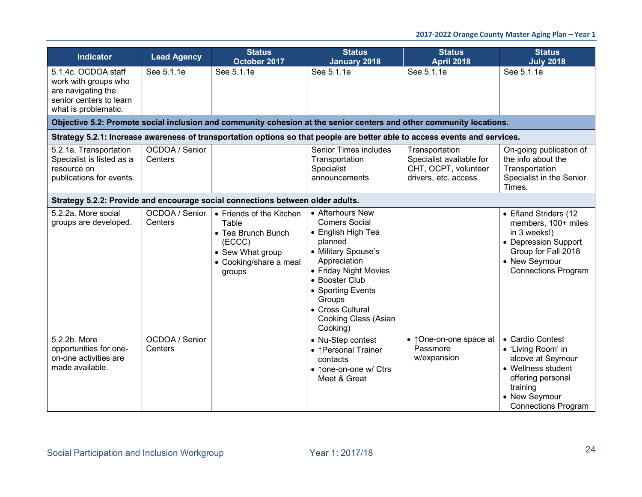| <b>Indicator</b>                                                                                                     | <b>Lead Agency</b>        | <b>Status</b><br>October 2017                                                                                             | <b>Status</b><br><b>January 2018</b>                                                                                                                                                                                                               | <b>Status</b><br><b>April 2018</b>                                                                                         | <b>Status</b><br><b>July 2018</b>                                                                                                                                 |
|----------------------------------------------------------------------------------------------------------------------|---------------------------|---------------------------------------------------------------------------------------------------------------------------|----------------------------------------------------------------------------------------------------------------------------------------------------------------------------------------------------------------------------------------------------|----------------------------------------------------------------------------------------------------------------------------|-------------------------------------------------------------------------------------------------------------------------------------------------------------------|
| 5.1.4c. OCDOA staff<br>work with groups who<br>are navigating the<br>senior centers to learn<br>what is problematic. | See 5.1.1e                | See 5.1.1e                                                                                                                | See 5.1.1e                                                                                                                                                                                                                                         | See 5.1.1e                                                                                                                 | See 5.1.1e                                                                                                                                                        |
|                                                                                                                      |                           |                                                                                                                           |                                                                                                                                                                                                                                                    | Objective 5.2: Promote social inclusion and community cohesion at the senior centers and other community locations.        |                                                                                                                                                                   |
|                                                                                                                      |                           |                                                                                                                           |                                                                                                                                                                                                                                                    | Strategy 5.2.1: Increase awareness of transportation options so that people are better able to access events and services. |                                                                                                                                                                   |
| 5.2.1a. Transportation<br>Specialist is listed as a<br>resource on<br>publications for events.                       | OCDOA / Senior<br>Centers |                                                                                                                           | Senior Times includes<br>Transportation<br>Specialist<br>announcements                                                                                                                                                                             | Transportation<br>Specialist available for<br>CHT, OCPT, volunteer<br>drivers, etc. access                                 | On-going publication of<br>the info about the<br>Transportation<br>Specialist in the Senior<br>Times.                                                             |
|                                                                                                                      |                           | Strategy 5.2.2: Provide and encourage social connections between older adults.                                            |                                                                                                                                                                                                                                                    |                                                                                                                            |                                                                                                                                                                   |
| 5.2.2a. More social<br>groups are developed.                                                                         | OCDOA / Senior<br>Centers | • Friends of the Kitchen<br>Table<br>• Tea Brunch Bunch<br>(ECCC)<br>• Sew What group<br>• Cooking/share a meal<br>groups | • Afterhours New<br><b>Comers Social</b><br>• English High Tea<br>planned<br>• Military Spouse's<br>Appreciation<br>• Friday Night Movies<br>• Booster Club<br>• Sporting Events<br>Groups<br>• Cross Cultural<br>Cooking Class (Asian<br>Cooking) |                                                                                                                            | • Efland Striders (12<br>members, 100+ miles<br>in 3 weeks!)<br>• Depression Support<br>Group for Fall 2018<br>• New Seymour<br><b>Connections Program</b>        |
| 5.2.2b. More<br>opportunities for one-<br>on-one activities are<br>made available.                                   | OCDOA / Senior<br>Centers |                                                                                                                           | • Nu-Step contest<br>• ↑ Personal Trainer<br>contacts<br>• ↑ one-on-one w/ Ctrs<br>Meet & Great                                                                                                                                                    | • 10ne-on-one space at<br>Passmore<br>w/expansion                                                                          | • Cardio Contest<br>• 'Living Room' in<br>alcove at Seymour<br>• Wellness student<br>offering personal<br>training<br>• New Seymour<br><b>Connections Program</b> |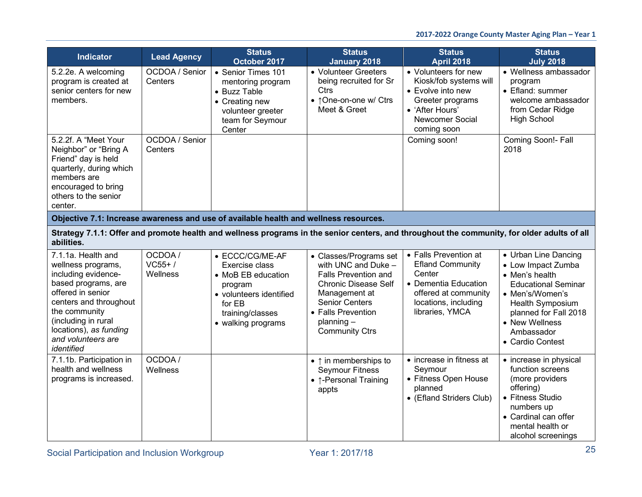| <b>Indicator</b>                                                                                                                                                                                                                            | <b>Lead Agency</b>             | <b>Status</b><br>October 2017                                                                                                                     | <b>Status</b><br><b>January 2018</b>                                                                                                                                                                                 | <b>Status</b><br><b>April 2018</b>                                                                                                                    | <b>Status</b><br><b>July 2018</b>                                                                                                                                                                              |  |  |  |
|---------------------------------------------------------------------------------------------------------------------------------------------------------------------------------------------------------------------------------------------|--------------------------------|---------------------------------------------------------------------------------------------------------------------------------------------------|----------------------------------------------------------------------------------------------------------------------------------------------------------------------------------------------------------------------|-------------------------------------------------------------------------------------------------------------------------------------------------------|----------------------------------------------------------------------------------------------------------------------------------------------------------------------------------------------------------------|--|--|--|
| 5.2.2e. A welcoming<br>program is created at<br>senior centers for new<br>members.                                                                                                                                                          | OCDOA / Senior<br>Centers      | • Senior Times 101<br>mentoring program<br>• Buzz Table<br>• Creating new<br>volunteer greeter<br>team for Seymour<br>Center                      | • Volunteer Greeters<br>being recruited for Sr<br><b>Ctrs</b><br>• 10ne-on-one w/ Ctrs<br>Meet & Greet                                                                                                               | • Volunteers for new<br>Kiosk/fob systems will<br>• Evolve into new<br>Greeter programs<br>• 'After Hours'<br><b>Newcomer Social</b><br>coming soon   | • Wellness ambassador<br>program<br>• Efland: summer<br>welcome ambassador<br>from Cedar Ridge<br><b>High School</b>                                                                                           |  |  |  |
| 5.2.2f. A "Meet Your<br>Neighbor" or "Bring A<br>Friend" day is held<br>quarterly, during which<br>members are<br>encouraged to bring<br>others to the senior<br>center.                                                                    | OCDOA / Senior<br>Centers      |                                                                                                                                                   |                                                                                                                                                                                                                      | Coming soon!                                                                                                                                          | Coming Soon!- Fall<br>2018                                                                                                                                                                                     |  |  |  |
| Objective 7.1: Increase awareness and use of available health and wellness resources.                                                                                                                                                       |                                |                                                                                                                                                   |                                                                                                                                                                                                                      |                                                                                                                                                       |                                                                                                                                                                                                                |  |  |  |
| abilities.                                                                                                                                                                                                                                  |                                | Strategy 7.1.1: Offer and promote health and wellness programs in the senior centers, and throughout the community, for older adults of all       |                                                                                                                                                                                                                      |                                                                                                                                                       |                                                                                                                                                                                                                |  |  |  |
| 7.1.1a. Health and<br>wellness programs,<br>including evidence-<br>based programs, are<br>offered in senior<br>centers and throughout<br>the community<br>(including in rural<br>locations), as funding<br>and volunteers are<br>identified | OCDOA/<br>$VC55+/$<br>Wellness | • ECCC/CG/ME-AF<br>Exercise class<br>• MoB EB education<br>program<br>· volunteers identified<br>for EB<br>training/classes<br>• walking programs | • Classes/Programs set<br>with UNC and Duke -<br><b>Falls Prevention and</b><br><b>Chronic Disease Self</b><br>Management at<br><b>Senior Centers</b><br>• Falls Prevention<br>$planning -$<br><b>Community Ctrs</b> | • Falls Prevention at<br><b>Efland Community</b><br>Center<br>• Dementia Education<br>offered at community<br>locations, including<br>libraries, YMCA | • Urban Line Dancing<br>• Low Impact Zumba<br>• Men's health<br><b>Educational Seminar</b><br>• Men's/Women's<br>Health Symposium<br>planned for Fall 2018<br>• New Wellness<br>Ambassador<br>• Cardio Contest |  |  |  |
| 7.1.1b. Participation in<br>health and wellness<br>programs is increased.                                                                                                                                                                   | OCDOA/<br>Wellness             |                                                                                                                                                   | $\bullet$ $\uparrow$ in memberships to<br><b>Seymour Fitness</b><br>• ↑-Personal Training<br>appts                                                                                                                   | • increase in fitness at<br>Seymour<br>• Fitness Open House<br>planned<br>• (Efland Striders Club)                                                    | • increase in physical<br>function screens<br>(more providers<br>offering)<br>• Fitness Studio<br>numbers up<br>• Cardinal can offer<br>mental health or<br>alcohol screenings                                 |  |  |  |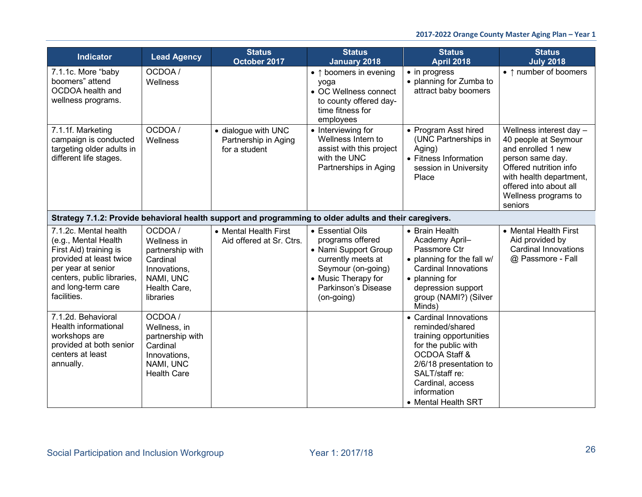| <b>Indicator</b>                                                                                                                                                                            | <b>Lead Agency</b>                                                                                              | <b>Status</b><br>October 2017                                                                           | <b>Status</b><br><b>January 2018</b>                                                                                                                                   | <b>Status</b><br><b>April 2018</b>                                                                                                                                                                                           | <b>Status</b><br><b>July 2018</b>                                                                                                                                                                           |
|---------------------------------------------------------------------------------------------------------------------------------------------------------------------------------------------|-----------------------------------------------------------------------------------------------------------------|---------------------------------------------------------------------------------------------------------|------------------------------------------------------------------------------------------------------------------------------------------------------------------------|------------------------------------------------------------------------------------------------------------------------------------------------------------------------------------------------------------------------------|-------------------------------------------------------------------------------------------------------------------------------------------------------------------------------------------------------------|
| 7.1.1c. More "baby<br>boomers" attend<br>OCDOA health and<br>wellness programs.                                                                                                             | OCDOA/<br>Wellness                                                                                              |                                                                                                         | $\bullet$ $\uparrow$ boomers in evening<br>yoga<br>• OC Wellness connect<br>to county offered day-<br>time fitness for<br>employees                                    | • in progress<br>• planning for Zumba to<br>attract baby boomers                                                                                                                                                             | • ↑ number of boomers                                                                                                                                                                                       |
| 7.1.1f. Marketing<br>campaign is conducted<br>targeting older adults in<br>different life stages.                                                                                           | OCDOA /<br>Wellness                                                                                             | · dialogue with UNC<br>Partnership in Aging<br>for a student                                            | • Interviewing for<br>Wellness Intern to<br>assist with this project<br>with the UNC<br>Partnerships in Aging                                                          | • Program Asst hired<br>(UNC Partnerships in<br>Aging)<br>• Fitness Information<br>session in University<br>Place                                                                                                            | Wellness interest day -<br>40 people at Seymour<br>and enrolled 1 new<br>person same day.<br>Offered nutrition info<br>with health department,<br>offered into about all<br>Wellness programs to<br>seniors |
|                                                                                                                                                                                             |                                                                                                                 | Strategy 7.1.2: Provide behavioral health support and programming to older adults and their caregivers. |                                                                                                                                                                        |                                                                                                                                                                                                                              |                                                                                                                                                                                                             |
| 7.1.2c. Mental health<br>(e.g., Mental Health<br>First Aid) training is<br>provided at least twice<br>per year at senior<br>centers, public libraries,<br>and long-term care<br>facilities. | OCDOA/<br>Wellness in<br>partnership with<br>Cardinal<br>Innovations,<br>NAMI, UNC<br>Health Care,<br>libraries | • Mental Health First<br>Aid offered at Sr. Ctrs.                                                       | • Essential Oils<br>programs offered<br>• Nami Support Group<br>currently meets at<br>Seymour (on-going)<br>• Music Therapy for<br>Parkinson's Disease<br>$(on-going)$ | • Brain Health<br>Academy April-<br>Passmore Ctr<br>• planning for the fall w/<br><b>Cardinal Innovations</b><br>$\bullet$ planning for<br>depression support<br>group (NAMI?) (Silver<br>Minds)                             | • Mental Health First<br>Aid provided by<br><b>Cardinal Innovations</b><br>@ Passmore - Fall                                                                                                                |
| 7.1.2d. Behavioral<br>Health informational<br>workshops are<br>provided at both senior<br>centers at least<br>annually.                                                                     | OCDOA/<br>Wellness, in<br>partnership with<br>Cardinal<br>Innovations,<br>NAMI, UNC<br><b>Health Care</b>       |                                                                                                         |                                                                                                                                                                        | • Cardinal Innovations<br>reminded/shared<br>training opportunities<br>for the public with<br><b>OCDOA Staff &amp;</b><br>2/6/18 presentation to<br>SALT/staff re:<br>Cardinal, access<br>information<br>• Mental Health SRT |                                                                                                                                                                                                             |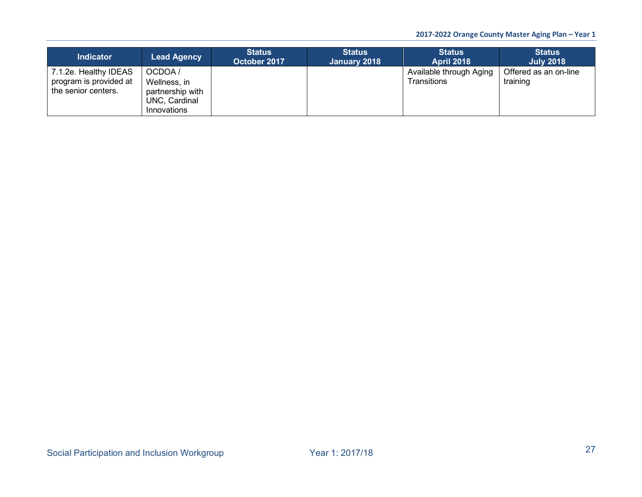| <b>Indicator</b>                                                       | <b>Lead Agency</b>                                                         | <b>Status</b><br>October 2017 | <b>Status</b><br>January 2018 | <b>Status</b><br><b>April 2018</b>     | <b>Status</b><br><b>July 2018</b> |
|------------------------------------------------------------------------|----------------------------------------------------------------------------|-------------------------------|-------------------------------|----------------------------------------|-----------------------------------|
| 7.1.2e. Healthy IDEAS<br>program is provided at<br>the senior centers. | OCDOA/<br>Wellness, in<br>partnership with<br>UNC, Cardinal<br>Innovations |                               |                               | Available through Aging<br>Transitions | Offered as an on-line<br>training |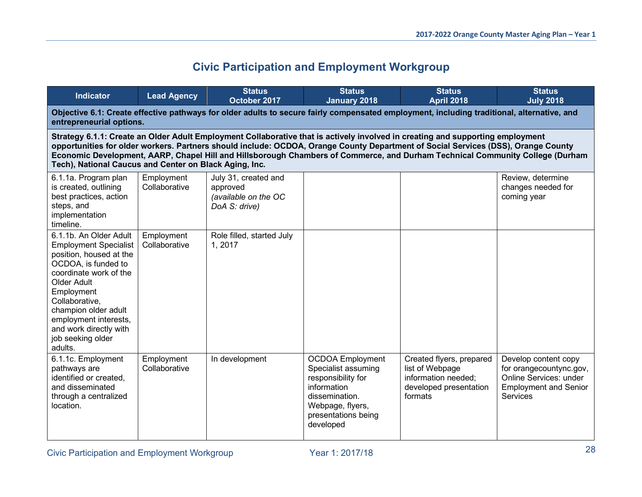## **Civic Participation and Employment Workgroup**

| <b>Indicator</b>                                                                                                                                                                                                                                                                                                                                                                                                                                               | <b>Lead Agency</b>                                                                                                                                                     | <b>Status</b><br>October 2017                                             | <b>Status</b><br><b>January 2018</b>                                                                                                                          | <b>Status</b><br><b>April 2018</b>                                                                      | <b>Status</b><br><b>July 2018</b>                                                                                            |  |  |  |  |  |
|----------------------------------------------------------------------------------------------------------------------------------------------------------------------------------------------------------------------------------------------------------------------------------------------------------------------------------------------------------------------------------------------------------------------------------------------------------------|------------------------------------------------------------------------------------------------------------------------------------------------------------------------|---------------------------------------------------------------------------|---------------------------------------------------------------------------------------------------------------------------------------------------------------|---------------------------------------------------------------------------------------------------------|------------------------------------------------------------------------------------------------------------------------------|--|--|--|--|--|
|                                                                                                                                                                                                                                                                                                                                                                                                                                                                | Objective 6.1: Create effective pathways for older adults to secure fairly compensated employment, including traditional, alternative, and<br>entrepreneurial options. |                                                                           |                                                                                                                                                               |                                                                                                         |                                                                                                                              |  |  |  |  |  |
| Strategy 6.1.1: Create an Older Adult Employment Collaborative that is actively involved in creating and supporting employment<br>opportunities for older workers. Partners should include: OCDOA, Orange County Department of Social Services (DSS), Orange County<br>Economic Development, AARP, Chapel Hill and Hillsborough Chambers of Commerce, and Durham Technical Community College (Durham<br>Tech), National Caucus and Center on Black Aging, Inc. |                                                                                                                                                                        |                                                                           |                                                                                                                                                               |                                                                                                         |                                                                                                                              |  |  |  |  |  |
| 6.1.1a. Program plan<br>is created, outlining<br>best practices, action<br>steps, and<br>implementation<br>timeline.                                                                                                                                                                                                                                                                                                                                           | Employment<br>Collaborative                                                                                                                                            | July 31, created and<br>approved<br>(available on the OC<br>DoA S: drive) |                                                                                                                                                               |                                                                                                         | Review, determine<br>changes needed for<br>coming year                                                                       |  |  |  |  |  |
| 6.1.1b. An Older Adult<br><b>Employment Specialist</b><br>position, housed at the<br>OCDOA, is funded to<br>coordinate work of the<br>Older Adult<br>Employment<br>Collaborative,<br>champion older adult<br>employment interests,<br>and work directly with<br>job seeking older<br>adults.                                                                                                                                                                   | Employment<br>Collaborative                                                                                                                                            | Role filled, started July<br>1, 2017                                      |                                                                                                                                                               |                                                                                                         |                                                                                                                              |  |  |  |  |  |
| 6.1.1c. Employment<br>pathways are<br>identified or created,<br>and disseminated<br>through a centralized<br>location.                                                                                                                                                                                                                                                                                                                                         | Employment<br>Collaborative                                                                                                                                            | In development                                                            | <b>OCDOA Employment</b><br>Specialist assuming<br>responsibility for<br>information<br>dissemination.<br>Webpage, flyers,<br>presentations being<br>developed | Created flyers, prepared<br>list of Webpage<br>information needed;<br>developed presentation<br>formats | Develop content copy<br>for orangecountync.gov,<br>Online Services: under<br><b>Employment and Senior</b><br><b>Services</b> |  |  |  |  |  |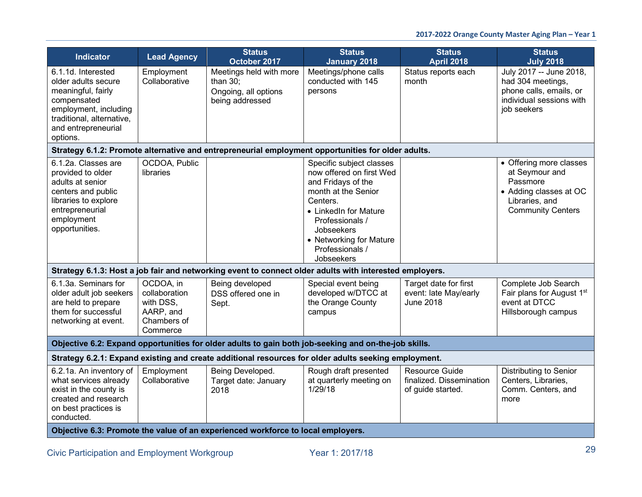| <b>Indicator</b>                                                                                                                                                        | <b>Lead Agency</b>                                                              | <b>Status</b><br>October 2017                                                                           | <b>Status</b><br><b>January 2018</b>                                                                                                                                                                                                | <b>Status</b><br><b>April 2018</b>                                     | <b>Status</b><br><b>July 2018</b>                                                                                             |
|-------------------------------------------------------------------------------------------------------------------------------------------------------------------------|---------------------------------------------------------------------------------|---------------------------------------------------------------------------------------------------------|-------------------------------------------------------------------------------------------------------------------------------------------------------------------------------------------------------------------------------------|------------------------------------------------------------------------|-------------------------------------------------------------------------------------------------------------------------------|
| 6.1.1d. Interested<br>older adults secure<br>meaningful, fairly<br>compensated<br>employment, including<br>traditional, alternative,<br>and entrepreneurial<br>options. | Employment<br>Collaborative                                                     | Meetings held with more<br>than $30$ ;<br>Ongoing, all options<br>being addressed                       | Meetings/phone calls<br>conducted with 145<br>persons                                                                                                                                                                               | Status reports each<br>month                                           | July 2017 -- June 2018,<br>had 304 meetings,<br>phone calls, emails, or<br>individual sessions with<br>job seekers            |
|                                                                                                                                                                         |                                                                                 | Strategy 6.1.2: Promote alternative and entrepreneurial employment opportunities for older adults.      |                                                                                                                                                                                                                                     |                                                                        |                                                                                                                               |
| 6.1.2a. Classes are<br>provided to older<br>adults at senior<br>centers and public<br>libraries to explore<br>entrepreneurial<br>employment<br>opportunities.           | OCDOA, Public<br>libraries                                                      |                                                                                                         | Specific subject classes<br>now offered on first Wed<br>and Fridays of the<br>month at the Senior<br>Centers.<br>• LinkedIn for Mature<br>Professionals /<br>Jobseekers<br>• Networking for Mature<br>Professionals /<br>Jobseekers |                                                                        | • Offering more classes<br>at Seymour and<br>Passmore<br>• Adding classes at OC<br>Libraries, and<br><b>Community Centers</b> |
|                                                                                                                                                                         |                                                                                 | Strategy 6.1.3: Host a job fair and networking event to connect older adults with interested employers. |                                                                                                                                                                                                                                     |                                                                        |                                                                                                                               |
| 6.1.3a. Seminars for<br>older adult job seekers<br>are held to prepare<br>them for successful<br>networking at event.                                                   | OCDOA, in<br>collaboration<br>with DSS,<br>AARP, and<br>Chambers of<br>Commerce | Being developed<br>DSS offered one in<br>Sept.                                                          | Special event being<br>developed w/DTCC at<br>the Orange County<br>campus                                                                                                                                                           | Target date for first<br>event: late May/early<br><b>June 2018</b>     | Complete Job Search<br>Fair plans for August 1st<br>event at DTCC<br>Hillsborough campus                                      |
|                                                                                                                                                                         |                                                                                 | Objective 6.2: Expand opportunities for older adults to gain both job-seeking and on-the-job skills.    |                                                                                                                                                                                                                                     |                                                                        |                                                                                                                               |
|                                                                                                                                                                         |                                                                                 | Strategy 6.2.1: Expand existing and create additional resources for older adults seeking employment.    |                                                                                                                                                                                                                                     |                                                                        |                                                                                                                               |
| 6.2.1a. An inventory of<br>what services already<br>exist in the county is<br>created and research<br>on best practices is<br>conducted.                                | Employment<br>Collaborative                                                     | Being Developed.<br>Target date: January<br>2018                                                        | Rough draft presented<br>at quarterly meeting on<br>1/29/18                                                                                                                                                                         | <b>Resource Guide</b><br>finalized. Dissemination<br>of guide started. | Distributing to Senior<br>Centers, Libraries,<br>Comm. Centers, and<br>more                                                   |
|                                                                                                                                                                         |                                                                                 | Objective 6.3: Promote the value of an experienced workforce to local employers.                        |                                                                                                                                                                                                                                     |                                                                        |                                                                                                                               |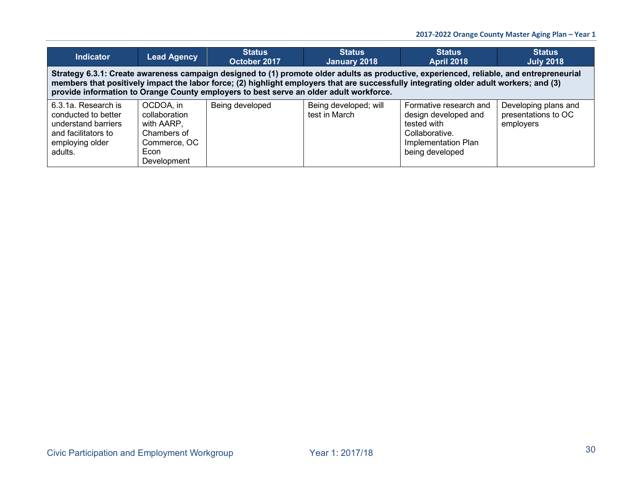| <b>Indicator</b>                                                                                                                                                                                                                                                                                                                                                             | <b>Lead Agency</b>                                                                             | <b>Status</b><br>October 2017 | <b>Status</b><br>January 2018          | <b>Status</b><br><b>April 2018</b>                                                                                        | <b>Status</b><br><b>July 2018</b>                        |  |  |  |  |
|------------------------------------------------------------------------------------------------------------------------------------------------------------------------------------------------------------------------------------------------------------------------------------------------------------------------------------------------------------------------------|------------------------------------------------------------------------------------------------|-------------------------------|----------------------------------------|---------------------------------------------------------------------------------------------------------------------------|----------------------------------------------------------|--|--|--|--|
| Strategy 6.3.1: Create awareness campaign designed to (1) promote older adults as productive, experienced, reliable, and entrepreneurial<br>members that positively impact the labor force; (2) highlight employers that are successfully integrating older adult workers; and (3)<br>provide information to Orange County employers to best serve an older adult workforce. |                                                                                                |                               |                                        |                                                                                                                           |                                                          |  |  |  |  |
| 6.3.1a. Research is<br>conducted to better<br>understand barriers<br>and facilitators to<br>employing older<br>adults.                                                                                                                                                                                                                                                       | OCDOA, in<br>collaboration<br>with AARP.<br>Chambers of<br>Commerce, OC<br>Econ<br>Development | Being developed               | Being developed; will<br>test in March | Formative research and<br>design developed and<br>tested with<br>Collaborative.<br>Implementation Plan<br>being developed | Developing plans and<br>presentations to OC<br>employers |  |  |  |  |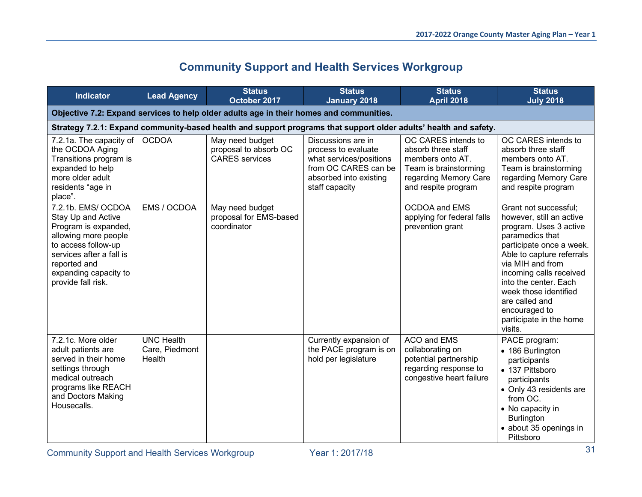## **Community Support and Health Services Workgroup**

| <b>Indicator</b>                                                                                                                                                                                                  | <b>Lead Agency</b>                            | <b>Status</b><br>October 2017                                                           | <b>Status</b><br><b>January 2018</b>                                                                                                     | <b>Status</b><br><b>April 2018</b>                                                                                                     | <b>Status</b><br><b>July 2018</b>                                                                                                                                                                                                                                                                                                 |
|-------------------------------------------------------------------------------------------------------------------------------------------------------------------------------------------------------------------|-----------------------------------------------|-----------------------------------------------------------------------------------------|------------------------------------------------------------------------------------------------------------------------------------------|----------------------------------------------------------------------------------------------------------------------------------------|-----------------------------------------------------------------------------------------------------------------------------------------------------------------------------------------------------------------------------------------------------------------------------------------------------------------------------------|
|                                                                                                                                                                                                                   |                                               | Objective 7.2: Expand services to help older adults age in their homes and communities. |                                                                                                                                          |                                                                                                                                        |                                                                                                                                                                                                                                                                                                                                   |
|                                                                                                                                                                                                                   |                                               |                                                                                         | Strategy 7.2.1: Expand community-based health and support programs that support older adults' health and safety.                         |                                                                                                                                        |                                                                                                                                                                                                                                                                                                                                   |
| 7.2.1a. The capacity of<br>the OCDOA Aging<br>Transitions program is<br>expanded to help<br>more older adult<br>residents "age in<br>place".                                                                      | <b>OCDOA</b>                                  | May need budget<br>proposal to absorb OC<br><b>CARES</b> services                       | Discussions are in<br>process to evaluate<br>what services/positions<br>from OC CARES can be<br>absorbed into existing<br>staff capacity | OC CARES intends to<br>absorb three staff<br>members onto AT.<br>Team is brainstorming<br>regarding Memory Care<br>and respite program | OC CARES intends to<br>absorb three staff<br>members onto AT.<br>Team is brainstorming<br>regarding Memory Care<br>and respite program                                                                                                                                                                                            |
| 7.2.1b. EMS/ OCDOA<br><b>Stay Up and Active</b><br>Program is expanded,<br>allowing more people<br>to access follow-up<br>services after a fall is<br>reported and<br>expanding capacity to<br>provide fall risk. | EMS / OCDOA                                   | May need budget<br>proposal for EMS-based<br>coordinator                                |                                                                                                                                          | OCDOA and EMS<br>applying for federal falls<br>prevention grant                                                                        | Grant not successful;<br>however, still an active<br>program. Uses 3 active<br>paramedics that<br>participate once a week.<br>Able to capture referrals<br>via MIH and from<br>incoming calls received<br>into the center. Each<br>week those identified<br>are called and<br>encouraged to<br>participate in the home<br>visits. |
| 7.2.1c. More older<br>adult patients are<br>served in their home<br>settings through<br>medical outreach<br>programs like REACH<br>and Doctors Making<br>Housecalls.                                              | <b>UNC Health</b><br>Care, Piedmont<br>Health |                                                                                         | Currently expansion of<br>the PACE program is on<br>hold per legislature                                                                 | ACO and EMS<br>collaborating on<br>potential partnership<br>regarding response to<br>congestive heart failure                          | PACE program:<br>• 186 Burlington<br>participants<br>• 137 Pittsboro<br>participants<br>• Only 43 residents are<br>from OC.<br>• No capacity in<br>Burlington<br>· about 35 openings in<br>Pittsboro                                                                                                                              |

Community Support and Health Services Workgroup Year 1: 2017/18 31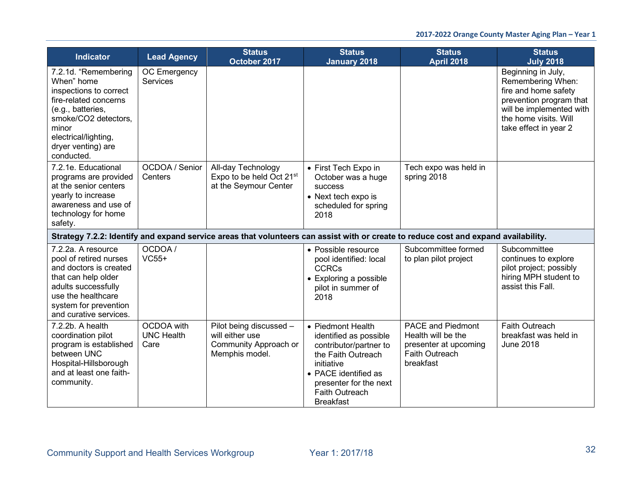| <b>Indicator</b>                                                                                                                                                                                        | <b>Lead Agency</b>                      | <b>Status</b><br>October 2017                                                                                                       | <b>Status</b><br><b>January 2018</b>                                                                                                                                                                     | <b>Status</b><br><b>April 2018</b>                                                                     | <b>Status</b><br><b>July 2018</b>                                                                                                                                        |
|---------------------------------------------------------------------------------------------------------------------------------------------------------------------------------------------------------|-----------------------------------------|-------------------------------------------------------------------------------------------------------------------------------------|----------------------------------------------------------------------------------------------------------------------------------------------------------------------------------------------------------|--------------------------------------------------------------------------------------------------------|--------------------------------------------------------------------------------------------------------------------------------------------------------------------------|
| 7.2.1d. "Remembering<br>When" home<br>inspections to correct<br>fire-related concerns<br>(e.g., batteries,<br>smoke/CO2 detectors,<br>minor<br>electrical/lighting,<br>dryer venting) are<br>conducted. | OC Emergency<br>Services                |                                                                                                                                     |                                                                                                                                                                                                          |                                                                                                        | Beginning in July,<br>Remembering When:<br>fire and home safety<br>prevention program that<br>will be implemented with<br>the home visits. Will<br>take effect in year 2 |
| 7.2.1e. Educational<br>programs are provided<br>at the senior centers<br>yearly to increase<br>awareness and use of<br>technology for home<br>safety.                                                   | OCDOA / Senior<br>Centers               | All-day Technology<br>Expo to be held Oct 21 <sup>st</sup><br>at the Seymour Center                                                 | • First Tech Expo in<br>October was a huge<br><b>SUCCESS</b><br>• Next tech expo is<br>scheduled for spring<br>2018                                                                                      | Tech expo was held in<br>spring 2018                                                                   |                                                                                                                                                                          |
|                                                                                                                                                                                                         |                                         | Strategy 7.2.2: Identify and expand service areas that volunteers can assist with or create to reduce cost and expand availability. |                                                                                                                                                                                                          |                                                                                                        |                                                                                                                                                                          |
| 7.2.2a. A resource<br>pool of retired nurses<br>and doctors is created<br>that can help older<br>adults successfully<br>use the healthcare<br>system for prevention<br>and curative services.           | OCDOA/<br>$VC55+$                       |                                                                                                                                     | • Possible resource<br>pool identified: local<br><b>CCRCs</b><br>• Exploring a possible<br>pilot in summer of<br>2018                                                                                    | Subcommittee formed<br>to plan pilot project                                                           | Subcommittee<br>continues to explore<br>pilot project; possibly<br>hiring MPH student to<br>assist this Fall.                                                            |
| 7.2.2b. A health<br>coordination pilot<br>program is established<br>between UNC<br>Hospital-Hillsborough<br>and at least one faith-<br>community.                                                       | OCDOA with<br><b>UNC Health</b><br>Care | Pilot being discussed -<br>will either use<br>Community Approach or<br>Memphis model.                                               | • Piedmont Health<br>identified as possible<br>contributor/partner to<br>the Faith Outreach<br>initiative<br>• PACE identified as<br>presenter for the next<br><b>Faith Outreach</b><br><b>Breakfast</b> | <b>PACE and Piedmont</b><br>Health will be the<br>presenter at upcoming<br>Faith Outreach<br>breakfast | Faith Outreach<br>breakfast was held in<br><b>June 2018</b>                                                                                                              |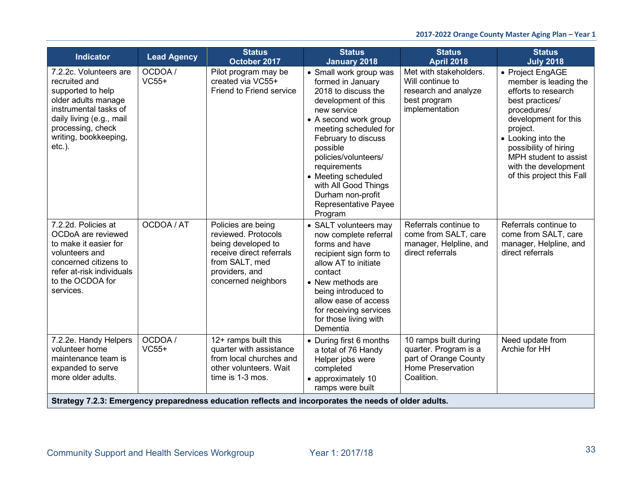| <b>Indicator</b>                                                                                                                                                                                    | <b>Lead Agency</b> | <b>Status</b><br>October 2017                                                                                                                                                                                                     | <b>Status</b><br><b>January 2018</b>                                                                                                                                                                                                                                                                                                         | <b>Status</b><br><b>April 2018</b>                                                                                | <b>Status</b><br><b>July 2018</b>                                                                                                                                                                                                                                   |
|-----------------------------------------------------------------------------------------------------------------------------------------------------------------------------------------------------|--------------------|-----------------------------------------------------------------------------------------------------------------------------------------------------------------------------------------------------------------------------------|----------------------------------------------------------------------------------------------------------------------------------------------------------------------------------------------------------------------------------------------------------------------------------------------------------------------------------------------|-------------------------------------------------------------------------------------------------------------------|---------------------------------------------------------------------------------------------------------------------------------------------------------------------------------------------------------------------------------------------------------------------|
| 7.2.2c. Volunteers are<br>recruited and<br>supported to help<br>older adults manage<br>instrumental tasks of<br>daily living (e.g., mail<br>processing, check<br>writing, bookkeeping,<br>$etc.$ ). | OCDOA/<br>$VC55+$  | Pilot program may be<br>created via VC55+<br>Friend to Friend service                                                                                                                                                             | • Small work group was<br>formed in January<br>2018 to discuss the<br>development of this<br>new service<br>• A second work group<br>meeting scheduled for<br>February to discuss<br>possible<br>policies/volunteers/<br>requirements<br>• Meeting scheduled<br>with All Good Things<br>Durham non-profit<br>Representative Payee<br>Program | Met with stakeholders.<br>Will continue to<br>research and analyze<br>best program<br>implementation              | • Project EngAGE<br>member is leading the<br>efforts to research<br>best practices/<br>procedures/<br>development for this<br>project.<br>• Looking into the<br>possibility of hiring<br>MPH student to assist<br>with the development<br>of this project this Fall |
| 7.2.2d. Policies at<br>OCDoA are reviewed<br>to make it easier for<br>volunteers and<br>concerned citizens to<br>refer at-risk individuals<br>to the OCDOA for<br>services.                         | OCDOA / AT         | Policies are being<br>reviewed. Protocols<br>being developed to<br>receive direct referrals<br>from SALT, med<br>providers, and<br>concerned neighbors                                                                            | • SALT volunteers may<br>now complete referral<br>forms and have<br>recipient sign form to<br>allow AT to initiate<br>contact<br>• New methods are<br>being introduced to<br>allow ease of access<br>for receiving services<br>for those living with<br>Dementia                                                                             | Referrals continue to<br>come from SALT, care<br>manager, Helpline, and<br>direct referrals                       | Referrals continue to<br>come from SALT, care<br>manager, Helpline, and<br>direct referrals                                                                                                                                                                         |
| 7.2.2e. Handy Helpers<br>volunteer home<br>maintenance team is<br>expanded to serve<br>more older adults.                                                                                           | OCDOA/<br>$VC55+$  | 12+ ramps built this<br>quarter with assistance<br>from local churches and<br>other volunteers. Wait<br>time is 1-3 mos.<br>Strategy 7.2.3: Emergency preparedness education reflects and incorporates the needs of older adults. | • During first 6 months<br>a total of 76 Handy<br>Helper jobs were<br>completed<br>• approximately 10<br>ramps were built                                                                                                                                                                                                                    | 10 ramps built during<br>quarter. Program is a<br>part of Orange County<br><b>Home Preservation</b><br>Coalition. | Need update from<br>Archie for HH                                                                                                                                                                                                                                   |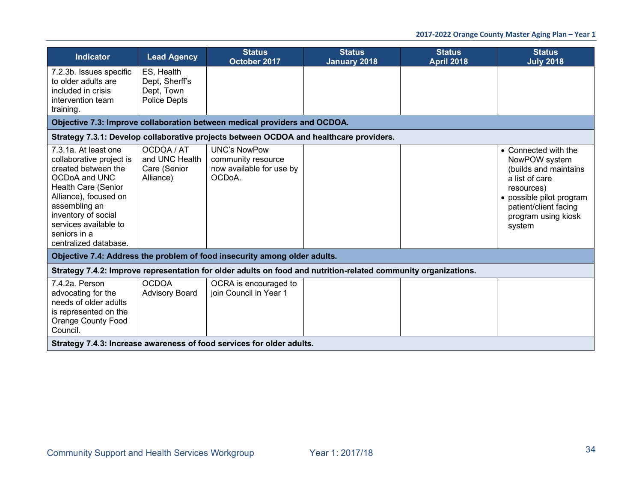| <b>Indicator</b>                                                                                                                                                                                                                                   | <b>Lead Agency</b>                                                | <b>Status</b><br>October 2017                                                                                  | <b>Status</b><br><b>January 2018</b> | <b>Status</b><br><b>April 2018</b> | <b>Status</b><br><b>July 2018</b>                                                                                                                                                    |  |  |  |
|----------------------------------------------------------------------------------------------------------------------------------------------------------------------------------------------------------------------------------------------------|-------------------------------------------------------------------|----------------------------------------------------------------------------------------------------------------|--------------------------------------|------------------------------------|--------------------------------------------------------------------------------------------------------------------------------------------------------------------------------------|--|--|--|
| 7.2.3b. Issues specific<br>to older adults are<br>included in crisis<br>intervention team<br>training.                                                                                                                                             | ES, Health<br>Dept, Sherff's<br>Dept, Town<br><b>Police Depts</b> |                                                                                                                |                                      |                                    |                                                                                                                                                                                      |  |  |  |
|                                                                                                                                                                                                                                                    |                                                                   | Objective 7.3: Improve collaboration between medical providers and OCDOA.                                      |                                      |                                    |                                                                                                                                                                                      |  |  |  |
|                                                                                                                                                                                                                                                    |                                                                   | Strategy 7.3.1: Develop collaborative projects between OCDOA and healthcare providers.                         |                                      |                                    |                                                                                                                                                                                      |  |  |  |
| 7.3.1a. At least one<br>collaborative project is<br>created between the<br>OCDoA and UNC<br>Health Care (Senior<br>Alliance), focused on<br>assembling an<br>inventory of social<br>services available to<br>seniors in a<br>centralized database. | OCDOA / AT<br>and UNC Health<br>Care (Senior<br>Alliance)         | <b>UNC's NowPow</b><br>community resource<br>now available for use by<br>OCD <sub>o</sub> A.                   |                                      |                                    | • Connected with the<br>NowPOW system<br>(builds and maintains<br>a list of care<br>resources)<br>• possible pilot program<br>patient/client facing<br>program using kiosk<br>system |  |  |  |
|                                                                                                                                                                                                                                                    |                                                                   | Objective 7.4: Address the problem of food insecurity among older adults.                                      |                                      |                                    |                                                                                                                                                                                      |  |  |  |
|                                                                                                                                                                                                                                                    |                                                                   | Strategy 7.4.2: Improve representation for older adults on food and nutrition-related community organizations. |                                      |                                    |                                                                                                                                                                                      |  |  |  |
| 7.4.2a. Person<br>advocating for the<br>needs of older adults<br>is represented on the<br><b>Orange County Food</b><br>Council.                                                                                                                    | <b>OCDOA</b><br><b>Advisory Board</b>                             | OCRA is encouraged to<br>join Council in Year 1                                                                |                                      |                                    |                                                                                                                                                                                      |  |  |  |
|                                                                                                                                                                                                                                                    |                                                                   | Strategy 7.4.3: Increase awareness of food services for older adults.                                          |                                      |                                    |                                                                                                                                                                                      |  |  |  |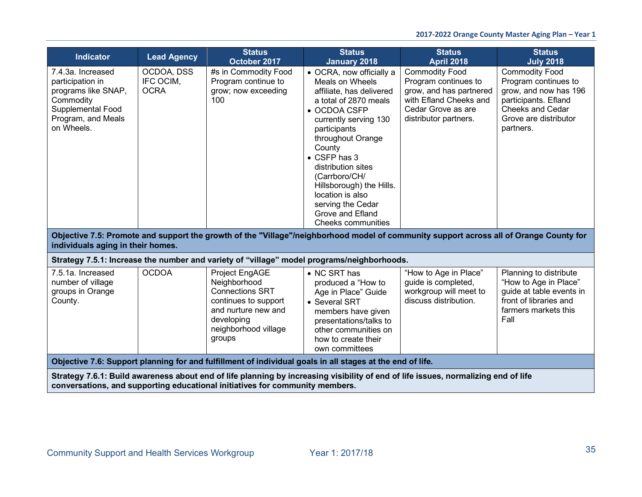| <b>Indicator</b>                                                                                                                   | <b>Lead Agency</b>                     | <b>Status</b><br>October 2017                                                                                                                           | <b>Status</b><br><b>January 2018</b>                                                                                                                                                                                                                                                                                                                                  | <b>Status</b><br><b>April 2018</b>                                                                                                                | <b>Status</b><br><b>July 2018</b>                                                                                                                               |
|------------------------------------------------------------------------------------------------------------------------------------|----------------------------------------|---------------------------------------------------------------------------------------------------------------------------------------------------------|-----------------------------------------------------------------------------------------------------------------------------------------------------------------------------------------------------------------------------------------------------------------------------------------------------------------------------------------------------------------------|---------------------------------------------------------------------------------------------------------------------------------------------------|-----------------------------------------------------------------------------------------------------------------------------------------------------------------|
| 7.4.3a. Increased<br>participation in<br>programs like SNAP,<br>Commodity<br>Supplemental Food<br>Program, and Meals<br>on Wheels. | OCDOA, DSS<br>IFC OCIM,<br><b>OCRA</b> | #s in Commodity Food<br>Program continue to<br>grow; now exceeding<br>100                                                                               | • OCRA, now officially a<br>Meals on Wheels<br>affiliate, has delivered<br>a total of 2870 meals<br>• OCDOA CSFP<br>currently serving 130<br>participants<br>throughout Orange<br>County<br>• CSFP has 3<br>distribution sites<br>(Carrboro/CH/<br>Hillsborough) the Hills.<br>location is also<br>serving the Cedar<br>Grove and Efland<br><b>Cheeks communities</b> | <b>Commodity Food</b><br>Program continues to<br>grow, and has partnered<br>with Efland Cheeks and<br>Cedar Grove as are<br>distributor partners. | <b>Commodity Food</b><br>Program continues to<br>grow, and now has 196<br>participants. Efland<br><b>Cheeks and Cedar</b><br>Grove are distributor<br>partners. |
| individuals aging in their homes.                                                                                                  |                                        |                                                                                                                                                         |                                                                                                                                                                                                                                                                                                                                                                       | Objective 7.5: Promote and support the growth of the "Village"/neighborhood model of community support across all of Orange County for            |                                                                                                                                                                 |
|                                                                                                                                    |                                        |                                                                                                                                                         | Strategy 7.5.1: Increase the number and variety of "village" model programs/neighborhoods.                                                                                                                                                                                                                                                                            |                                                                                                                                                   |                                                                                                                                                                 |
| 7.5.1a. Increased<br>number of village<br>groups in Orange<br>County.                                                              | <b>OCDOA</b>                           | Project EngAGE<br>Neighborhood<br><b>Connections SRT</b><br>continues to support<br>and nurture new and<br>developing<br>neighborhood village<br>groups | • NC SRT has<br>produced a "How to<br>Age in Place" Guide<br>• Several SRT<br>members have given<br>presentations/talks to<br>other communities on<br>how to create their<br>own committees                                                                                                                                                                           | "How to Age in Place"<br>guide is completed,<br>workgroup will meet to<br>discuss distribution.                                                   | Planning to distribute<br>"How to Age in Place"<br>guide at table events in<br>front of libraries and<br>farmers markets this<br>Fall                           |
|                                                                                                                                    |                                        |                                                                                                                                                         | Objective 7.6: Support planning for and fulfillment of individual goals in all stages at the end of life.                                                                                                                                                                                                                                                             |                                                                                                                                                   |                                                                                                                                                                 |
|                                                                                                                                    |                                        | conversations, and supporting educational initiatives for community members.                                                                            |                                                                                                                                                                                                                                                                                                                                                                       | Strategy 7.6.1: Build awareness about end of life planning by increasing visibility of end of life issues, normalizing end of life                |                                                                                                                                                                 |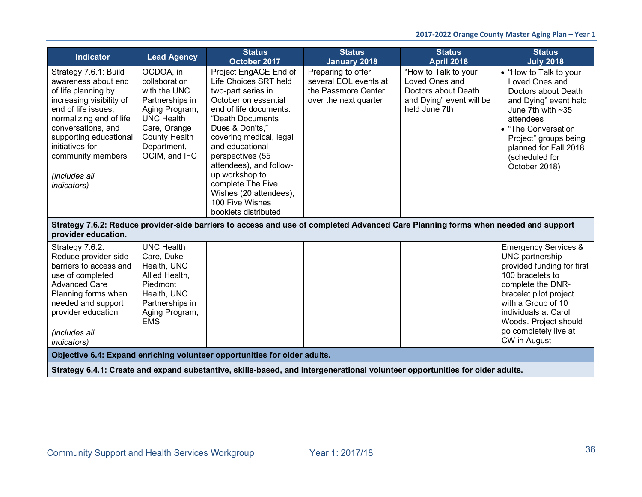| <b>Indicator</b>                                                                                                                                                                                                                                                                  | <b>Lead Agency</b>                                                                                                                                                           | <b>Status</b><br>October 2017                                                                                                                                                                                                                                                                                                                                           | <b>Status</b><br><b>January 2018</b>                                                        | <b>Status</b><br><b>April 2018</b>                                                                                                | <b>Status</b><br><b>July 2018</b>                                                                                                                                                                                                                                   |
|-----------------------------------------------------------------------------------------------------------------------------------------------------------------------------------------------------------------------------------------------------------------------------------|------------------------------------------------------------------------------------------------------------------------------------------------------------------------------|-------------------------------------------------------------------------------------------------------------------------------------------------------------------------------------------------------------------------------------------------------------------------------------------------------------------------------------------------------------------------|---------------------------------------------------------------------------------------------|-----------------------------------------------------------------------------------------------------------------------------------|---------------------------------------------------------------------------------------------------------------------------------------------------------------------------------------------------------------------------------------------------------------------|
| Strategy 7.6.1: Build<br>awareness about end<br>of life planning by<br>increasing visibility of<br>end of life issues,<br>normalizing end of life<br>conversations, and<br>supporting educational<br>initiatives for<br>community members.<br>(includes all<br><i>indicators)</i> | OCDOA, in<br>collaboration<br>with the UNC<br>Partnerships in<br>Aging Program,<br><b>UNC Health</b><br>Care, Orange<br><b>County Health</b><br>Department,<br>OCIM, and IFC | Project EngAGE End of<br>Life Choices SRT held<br>two-part series in<br>October on essential<br>end of life documents:<br>"Death Documents<br>Dues & Don'ts,"<br>covering medical, legal<br>and educational<br>perspectives (55<br>attendees), and follow-<br>up workshop to<br>complete The Five<br>Wishes (20 attendees);<br>100 Five Wishes<br>booklets distributed. | Preparing to offer<br>several EOL events at<br>the Passmore Center<br>over the next quarter | "How to Talk to your<br>Loved Ones and<br>Doctors about Death<br>and Dying" event will be<br>held June 7th                        | • "How to Talk to your<br>Loved Ones and<br>Doctors about Death<br>and Dying" event held<br>June 7th with $~25$<br>attendees<br>• "The Conversation"<br>Project" groups being<br>planned for Fall 2018<br>(scheduled for<br>October 2018)                           |
| provider education.                                                                                                                                                                                                                                                               |                                                                                                                                                                              |                                                                                                                                                                                                                                                                                                                                                                         |                                                                                             | Strategy 7.6.2: Reduce provider-side barriers to access and use of completed Advanced Care Planning forms when needed and support |                                                                                                                                                                                                                                                                     |
| Strategy 7.6.2:<br>Reduce provider-side<br>barriers to access and<br>use of completed<br><b>Advanced Care</b><br>Planning forms when<br>needed and support<br>provider education<br>(includes all<br><i>indicators)</i>                                                           | <b>UNC Health</b><br>Care, Duke<br>Health, UNC<br>Allied Health,<br>Piedmont<br>Health, UNC<br>Partnerships in<br>Aging Program,<br><b>EMS</b>                               |                                                                                                                                                                                                                                                                                                                                                                         |                                                                                             |                                                                                                                                   | <b>Emergency Services &amp;</b><br>UNC partnership<br>provided funding for first<br>100 bracelets to<br>complete the DNR-<br>bracelet pilot project<br>with a Group of 10<br>individuals at Carol<br>Woods. Project should<br>go completely live at<br>CW in August |
|                                                                                                                                                                                                                                                                                   |                                                                                                                                                                              | Objective 6.4: Expand enriching volunteer opportunities for older adults.                                                                                                                                                                                                                                                                                               |                                                                                             |                                                                                                                                   |                                                                                                                                                                                                                                                                     |
|                                                                                                                                                                                                                                                                                   |                                                                                                                                                                              |                                                                                                                                                                                                                                                                                                                                                                         |                                                                                             | Strategy 6.4.1: Create and expand substantive, skills-based, and intergenerational volunteer opportunities for older adults.      |                                                                                                                                                                                                                                                                     |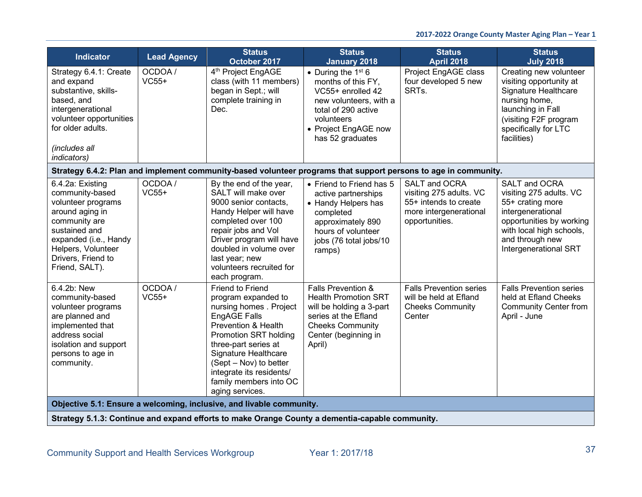| <b>Indicator</b>                                                                                                                                                                                      | <b>Lead Agency</b> | <b>Status</b><br>October 2017                                                                                                                                                                                                                                                        | <b>Status</b><br><b>January 2018</b>                                                                                                                                       | <b>Status</b><br><b>April 2018</b>                                                                            | <b>Status</b><br><b>July 2018</b>                                                                                                                                                      |
|-------------------------------------------------------------------------------------------------------------------------------------------------------------------------------------------------------|--------------------|--------------------------------------------------------------------------------------------------------------------------------------------------------------------------------------------------------------------------------------------------------------------------------------|----------------------------------------------------------------------------------------------------------------------------------------------------------------------------|---------------------------------------------------------------------------------------------------------------|----------------------------------------------------------------------------------------------------------------------------------------------------------------------------------------|
| Strategy 6.4.1: Create<br>and expand<br>substantive, skills-<br>based, and<br>intergenerational<br>volunteer opportunities<br>for older adults.<br>(includes all<br><i>indicators)</i>                | OCDOA/<br>$VC55+$  | 4 <sup>th</sup> Project EngAGE<br>class (with 11 members)<br>began in Sept.; will<br>complete training in<br>Dec.                                                                                                                                                                    | • During the $1st 6$<br>months of this FY,<br>VC55+ enrolled 42<br>new volunteers, with a<br>total of 290 active<br>volunteers<br>• Project EngAGE now<br>has 52 graduates | Project EngAGE class<br>four developed 5 new<br>SRTs.                                                         | Creating new volunteer<br>visiting opportunity at<br><b>Signature Healthcare</b><br>nursing home,<br>launching in Fall<br>(visiting F2F program<br>specifically for LTC<br>facilities) |
|                                                                                                                                                                                                       |                    | Strategy 6.4.2: Plan and implement community-based volunteer programs that support persons to age in community.                                                                                                                                                                      |                                                                                                                                                                            |                                                                                                               |                                                                                                                                                                                        |
| 6.4.2a: Existing<br>community-based<br>volunteer programs<br>around aging in<br>community are<br>sustained and<br>expanded (i.e., Handy<br>Helpers, Volunteer<br>Drivers, Friend to<br>Friend, SALT). | OCDOA/<br>$VC55+$  | By the end of the year,<br>SALT will make over<br>9000 senior contacts,<br>Handy Helper will have<br>completed over 100<br>repair jobs and Vol<br>Driver program will have<br>doubled in volume over<br>last year; new<br>volunteers recruited for<br>each program.                  | • Friend to Friend has 5<br>active partnerships<br>• Handy Helpers has<br>completed<br>approximately 890<br>hours of volunteer<br>jobs (76 total jobs/10<br>ramps)         | SALT and OCRA<br>visiting 275 adults. VC<br>55+ intends to create<br>more intergenerational<br>opportunities. | SALT and OCRA<br>visiting 275 adults. VC<br>55+ crating more<br>intergenerational<br>opportunities by working<br>with local high schools,<br>and through new<br>Intergenerational SRT  |
| 6.4.2b: New<br>community-based<br>volunteer programs<br>are planned and<br>implemented that<br>address social<br>isolation and support<br>persons to age in<br>community.                             | OCDOA /<br>$VC55+$ | Friend to Friend<br>program expanded to<br>nursing homes. Project<br>EngAGE Falls<br>Prevention & Health<br>Promotion SRT holding<br>three-part series at<br>Signature Healthcare<br>(Sept – Nov) to better<br>integrate its residents/<br>family members into OC<br>aging services. | Falls Prevention &<br><b>Health Promotion SRT</b><br>will be holding a 3-part<br>series at the Efland<br><b>Cheeks Community</b><br>Center (beginning in<br>April)         | <b>Falls Prevention series</b><br>will be held at Efland<br><b>Cheeks Community</b><br>Center                 | <b>Falls Prevention series</b><br>held at Efland Cheeks<br><b>Community Center from</b><br>April - June                                                                                |
|                                                                                                                                                                                                       |                    | Objective 5.1: Ensure a welcoming, inclusive, and livable community.                                                                                                                                                                                                                 |                                                                                                                                                                            |                                                                                                               |                                                                                                                                                                                        |
|                                                                                                                                                                                                       |                    | Strategy 5.1.3: Continue and expand efforts to make Orange County a dementia-capable community.                                                                                                                                                                                      |                                                                                                                                                                            |                                                                                                               |                                                                                                                                                                                        |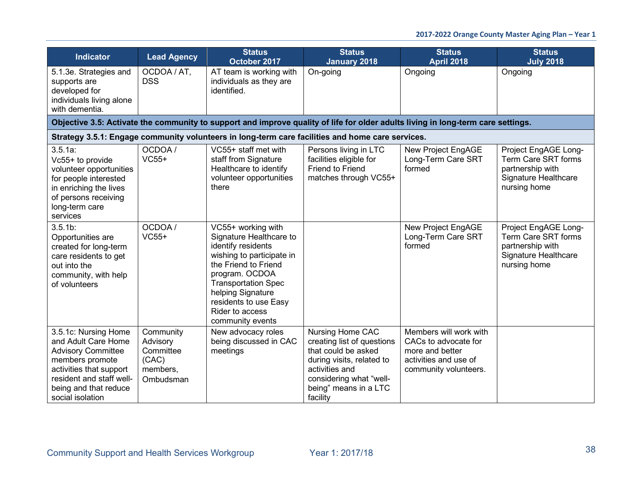| <b>Indicator</b>                                                                                                                                                                                | <b>Lead Agency</b>                                                   | <b>Status</b><br>October 2017                                                                                                                                                                                                                                 | <b>Status</b><br>January 2018                                                                                                                                                        | <b>Status</b><br><b>April 2018</b>                                                                                               | <b>Status</b><br><b>July 2018</b>                                                                       |
|-------------------------------------------------------------------------------------------------------------------------------------------------------------------------------------------------|----------------------------------------------------------------------|---------------------------------------------------------------------------------------------------------------------------------------------------------------------------------------------------------------------------------------------------------------|--------------------------------------------------------------------------------------------------------------------------------------------------------------------------------------|----------------------------------------------------------------------------------------------------------------------------------|---------------------------------------------------------------------------------------------------------|
| 5.1.3e. Strategies and<br>supports are<br>developed for<br>individuals living alone<br>with dementia.                                                                                           | OCDOA / AT,<br><b>DSS</b>                                            | AT team is working with<br>individuals as they are<br>identified.                                                                                                                                                                                             | On-going                                                                                                                                                                             | Ongoing                                                                                                                          | Ongoing                                                                                                 |
|                                                                                                                                                                                                 |                                                                      |                                                                                                                                                                                                                                                               |                                                                                                                                                                                      | Objective 3.5: Activate the community to support and improve quality of life for older adults living in long-term care settings. |                                                                                                         |
|                                                                                                                                                                                                 |                                                                      | Strategy 3.5.1: Engage community volunteers in long-term care facilities and home care services.                                                                                                                                                              |                                                                                                                                                                                      |                                                                                                                                  |                                                                                                         |
| $3.5.1a$ :<br>Vc55+ to provide<br>volunteer opportunities<br>for people interested<br>in enriching the lives<br>of persons receiving<br>long-term care<br>services                              | OCDOA/<br>$VC55+$                                                    | VC55+ staff met with<br>staff from Signature<br>Healthcare to identify<br>volunteer opportunities<br>there                                                                                                                                                    | Persons living in LTC<br>facilities eligible for<br><b>Friend to Friend</b><br>matches through VC55+                                                                                 | New Project EngAGE<br>Long-Term Care SRT<br>formed                                                                               | Project EngAGE Long-<br>Term Care SRT forms<br>partnership with<br>Signature Healthcare<br>nursing home |
| $3.5.1b$ :<br>Opportunities are<br>created for long-term<br>care residents to get<br>out into the<br>community, with help<br>of volunteers                                                      | OCDOA/<br>$VC55+$                                                    | VC55+ working with<br>Signature Healthcare to<br>identify residents<br>wishing to participate in<br>the Friend to Friend<br>program. OCDOA<br><b>Transportation Spec</b><br>helping Signature<br>residents to use Easy<br>Rider to access<br>community events |                                                                                                                                                                                      | New Project EngAGE<br>Long-Term Care SRT<br>formed                                                                               | Project EngAGE Long-<br>Term Care SRT forms<br>partnership with<br>Signature Healthcare<br>nursing home |
| 3.5.1c: Nursing Home<br>and Adult Care Home<br><b>Advisory Committee</b><br>members promote<br>activities that support<br>resident and staff well-<br>being and that reduce<br>social isolation | Community<br>Advisory<br>Committee<br>(CAC)<br>members,<br>Ombudsman | New advocacy roles<br>being discussed in CAC<br>meetings                                                                                                                                                                                                      | Nursing Home CAC<br>creating list of questions<br>that could be asked<br>during visits, related to<br>activities and<br>considering what "well-<br>being" means in a LTC<br>facility | Members will work with<br>CACs to advocate for<br>more and better<br>activities and use of<br>community volunteers.              |                                                                                                         |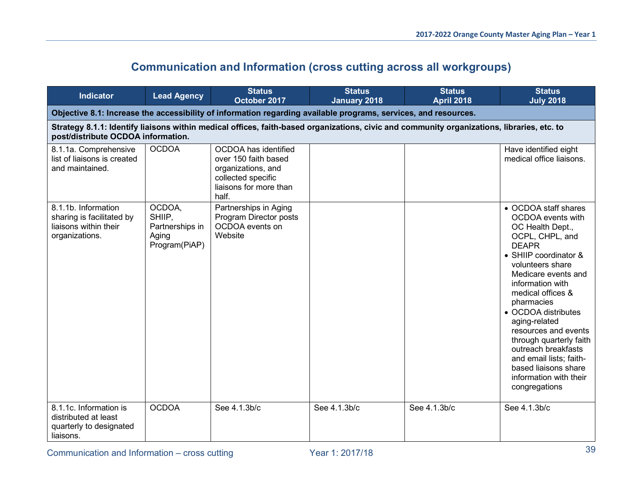## **Communication and Information (cross cutting across all workgroups)**

| <b>Indicator</b>                                                                            | <b>Lead Agency</b>                                            | <b>Status</b><br>October 2017                                                                                                              | <b>Status</b><br><b>January 2018</b> | <b>Status</b><br><b>April 2018</b> | <b>Status</b><br><b>July 2018</b>                                                                                                                                                                                                                                                                                                                                                                                                           |
|---------------------------------------------------------------------------------------------|---------------------------------------------------------------|--------------------------------------------------------------------------------------------------------------------------------------------|--------------------------------------|------------------------------------|---------------------------------------------------------------------------------------------------------------------------------------------------------------------------------------------------------------------------------------------------------------------------------------------------------------------------------------------------------------------------------------------------------------------------------------------|
|                                                                                             |                                                               | Objective 8.1: Increase the accessibility of information regarding available programs, services, and resources.                            |                                      |                                    |                                                                                                                                                                                                                                                                                                                                                                                                                                             |
| post/distribute OCDOA information.                                                          |                                                               | Strategy 8.1.1: Identify liaisons within medical offices, faith-based organizations, civic and community organizations, libraries, etc. to |                                      |                                    |                                                                                                                                                                                                                                                                                                                                                                                                                                             |
| 8.1.1a. Comprehensive<br>list of liaisons is created<br>and maintained.                     | <b>OCDOA</b>                                                  | OCDOA has identified<br>over 150 faith based<br>organizations, and<br>collected specific<br>liaisons for more than<br>half.                |                                      |                                    | Have identified eight<br>medical office liaisons.                                                                                                                                                                                                                                                                                                                                                                                           |
| 8.1.1b. Information<br>sharing is facilitated by<br>liaisons within their<br>organizations. | OCDOA,<br>SHIIP,<br>Partnerships in<br>Aging<br>Program(PiAP) | Partnerships in Aging<br>Program Director posts<br>OCDOA events on<br>Website                                                              |                                      |                                    | • OCDOA staff shares<br>OCDOA events with<br>OC Health Dept.,<br>OCPL, CHPL, and<br><b>DEAPR</b><br>• SHIIP coordinator &<br>volunteers share<br>Medicare events and<br>information with<br>medical offices &<br>pharmacies<br>• OCDOA distributes<br>aging-related<br>resources and events<br>through quarterly faith<br>outreach breakfasts<br>and email lists; faith-<br>based liaisons share<br>information with their<br>congregations |
| 8.1.1c. Information is<br>distributed at least<br>quarterly to designated<br>liaisons.      | <b>OCDOA</b>                                                  | See 4.1.3b/c                                                                                                                               | See 4.1.3b/c                         | See 4.1.3b/c                       | See 4.1.3b/c                                                                                                                                                                                                                                                                                                                                                                                                                                |

Communication and Information – cross cutting Vear 1: 2017/18 39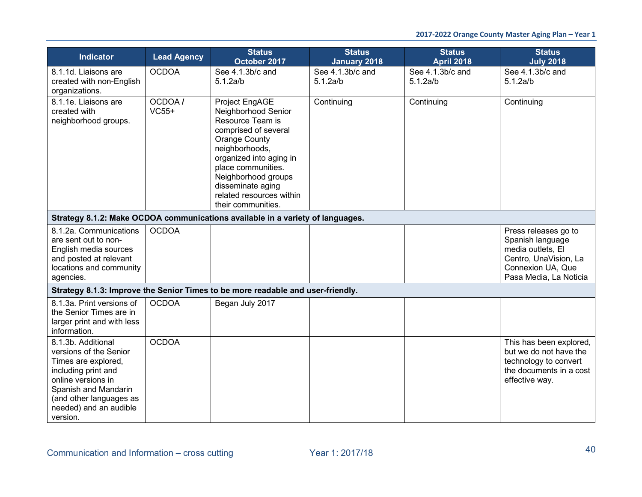| <b>Indicator</b>                                                                                                                                                                                          | <b>Lead Agency</b> | <b>Status</b><br>October 2017                                                                                                                                                                                                                                              | <b>Status</b><br><b>January 2018</b> | <b>Status</b><br><b>April 2018</b> | <b>Status</b><br><b>July 2018</b>                                                                                                     |  |
|-----------------------------------------------------------------------------------------------------------------------------------------------------------------------------------------------------------|--------------------|----------------------------------------------------------------------------------------------------------------------------------------------------------------------------------------------------------------------------------------------------------------------------|--------------------------------------|------------------------------------|---------------------------------------------------------------------------------------------------------------------------------------|--|
| 8.1.1d. Liaisons are<br>created with non-English<br>organizations.                                                                                                                                        | <b>OCDOA</b>       | See 4.1.3b/c and<br>5.1.2a/b                                                                                                                                                                                                                                               | See 4.1.3b/c and<br>5.1.2a/b         | See 4.1.3b/c and<br>5.1.2a/b       | See 4.1.3b/c and<br>5.1.2a/b                                                                                                          |  |
| 8.1.1e. Liaisons are<br>created with<br>neighborhood groups.                                                                                                                                              | OCDOA /<br>$VC55+$ | Project EngAGE<br>Neighborhood Senior<br>Resource Team is<br>comprised of several<br><b>Orange County</b><br>neighborhoods,<br>organized into aging in<br>place communities.<br>Neighborhood groups<br>disseminate aging<br>related resources within<br>their communities. | Continuing                           | Continuing                         | Continuing                                                                                                                            |  |
|                                                                                                                                                                                                           |                    | Strategy 8.1.2: Make OCDOA communications available in a variety of languages.                                                                                                                                                                                             |                                      |                                    |                                                                                                                                       |  |
| 8.1.2a. Communications<br>are sent out to non-<br>English media sources<br>and posted at relevant<br>locations and community<br>agencies.                                                                 | <b>OCDOA</b>       |                                                                                                                                                                                                                                                                            |                                      |                                    | Press releases go to<br>Spanish language<br>media outlets, El<br>Centro, UnaVision, La<br>Connexion UA, Que<br>Pasa Media, La Noticia |  |
| Strategy 8.1.3: Improve the Senior Times to be more readable and user-friendly.                                                                                                                           |                    |                                                                                                                                                                                                                                                                            |                                      |                                    |                                                                                                                                       |  |
| 8.1.3a. Print versions of<br>the Senior Times are in<br>larger print and with less<br>information.                                                                                                        | <b>OCDOA</b>       | Began July 2017                                                                                                                                                                                                                                                            |                                      |                                    |                                                                                                                                       |  |
| 8.1.3b. Additional<br>versions of the Senior<br>Times are explored,<br>including print and<br>online versions in<br>Spanish and Mandarin<br>(and other languages as<br>needed) and an audible<br>version. | <b>OCDOA</b>       |                                                                                                                                                                                                                                                                            |                                      |                                    | This has been explored,<br>but we do not have the<br>technology to convert<br>the documents in a cost<br>effective way.               |  |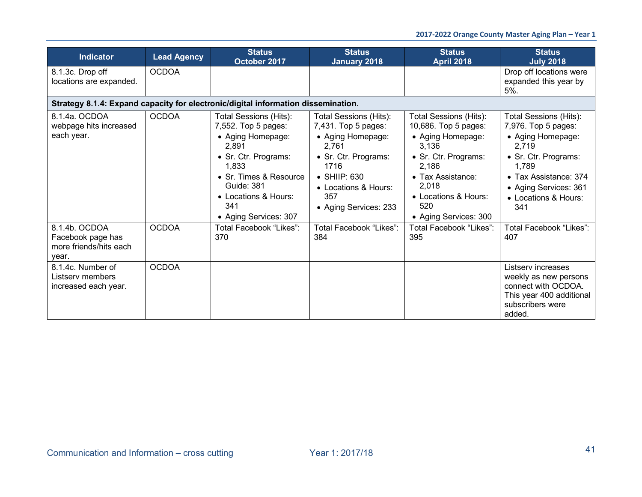| <b>Indicator</b>                                                      | <b>Lead Agency</b> | <b>Status</b><br>October 2017                                                                                                                                                                                | <b>Status</b><br>January 2018                                                                                                                                                               | <b>Status</b><br><b>April 2018</b>                                                                                                                                                                  | <b>Status</b><br><b>July 2018</b>                                                                                                                                                             |
|-----------------------------------------------------------------------|--------------------|--------------------------------------------------------------------------------------------------------------------------------------------------------------------------------------------------------------|---------------------------------------------------------------------------------------------------------------------------------------------------------------------------------------------|-----------------------------------------------------------------------------------------------------------------------------------------------------------------------------------------------------|-----------------------------------------------------------------------------------------------------------------------------------------------------------------------------------------------|
| 8.1.3c. Drop off<br>locations are expanded.                           | <b>OCDOA</b>       |                                                                                                                                                                                                              |                                                                                                                                                                                             |                                                                                                                                                                                                     | Drop off locations were<br>expanded this year by<br>5%.                                                                                                                                       |
|                                                                       |                    | Strategy 8.1.4: Expand capacity for electronic/digital information dissemination.                                                                                                                            |                                                                                                                                                                                             |                                                                                                                                                                                                     |                                                                                                                                                                                               |
| 8.1.4a, OCDOA<br>webpage hits increased<br>each year.                 | <b>OCDOA</b>       | Total Sessions (Hits):<br>7,552. Top 5 pages:<br>• Aging Homepage:<br>2,891<br>• Sr. Ctr. Programs:<br>1,833<br>• Sr. Times & Resource<br>Guide: 381<br>• Locations & Hours:<br>341<br>• Aging Services: 307 | Total Sessions (Hits):<br>7,431. Top 5 pages:<br>• Aging Homepage:<br>2,761<br>• Sr. Ctr. Programs:<br>1716<br>$\bullet$ SHIIP: 630<br>• Locations & Hours:<br>357<br>• Aging Services: 233 | Total Sessions (Hits):<br>10,686. Top 5 pages:<br>• Aging Homepage:<br>3,136<br>• Sr. Ctr. Programs:<br>2,186<br>• Tax Assistance:<br>2,018<br>• Locations & Hours:<br>520<br>• Aging Services: 300 | Total Sessions (Hits):<br>7,976. Top 5 pages:<br>• Aging Homepage:<br>2,719<br>• Sr. Ctr. Programs:<br>1,789<br>• Tax Assistance: 374<br>• Aging Services: 361<br>• Locations & Hours:<br>341 |
| 8.1.4b. OCDOA<br>Facebook page has<br>more friends/hits each<br>year. | <b>OCDOA</b>       | Total Facebook "Likes":<br>370                                                                                                                                                                               | Total Facebook "Likes":<br>384                                                                                                                                                              | Total Facebook "Likes":<br>395                                                                                                                                                                      | Total Facebook "Likes":<br>407                                                                                                                                                                |
| 8.1.4c. Number of<br>Listsery members<br>increased each year.         | <b>OCDOA</b>       |                                                                                                                                                                                                              |                                                                                                                                                                                             |                                                                                                                                                                                                     | Listserv increases<br>weekly as new persons<br>connect with OCDOA.<br>This year 400 additional<br>subscribers were<br>added.                                                                  |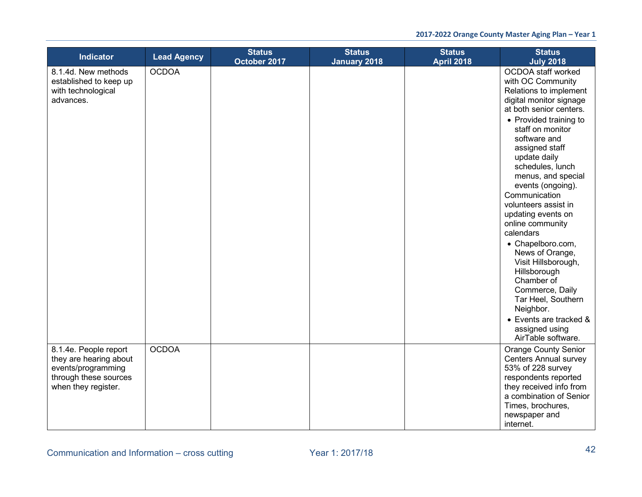| <b>Indicator</b>                                                                                                      | <b>Lead Agency</b> | <b>Status</b><br>October 2017 | <b>Status</b><br><b>January 2018</b> | <b>Status</b><br><b>April 2018</b> | <b>Status</b><br><b>July 2018</b>                                                                                                                                                                                                                                                                                                                                                                                                                                                                                                                                                                           |
|-----------------------------------------------------------------------------------------------------------------------|--------------------|-------------------------------|--------------------------------------|------------------------------------|-------------------------------------------------------------------------------------------------------------------------------------------------------------------------------------------------------------------------------------------------------------------------------------------------------------------------------------------------------------------------------------------------------------------------------------------------------------------------------------------------------------------------------------------------------------------------------------------------------------|
| 8.1.4d. New methods<br>established to keep up<br>with technological<br>advances.                                      | <b>OCDOA</b>       |                               |                                      |                                    | OCDOA staff worked<br>with OC Community<br>Relations to implement<br>digital monitor signage<br>at both senior centers.<br>• Provided training to<br>staff on monitor<br>software and<br>assigned staff<br>update daily<br>schedules, lunch<br>menus, and special<br>events (ongoing).<br>Communication<br>volunteers assist in<br>updating events on<br>online community<br>calendars<br>• Chapelboro.com,<br>News of Orange,<br>Visit Hillsborough,<br>Hillsborough<br>Chamber of<br>Commerce, Daily<br>Tar Heel, Southern<br>Neighbor.<br>• Events are tracked &<br>assigned using<br>AirTable software. |
| 8.1.4e. People report<br>they are hearing about<br>events/programming<br>through these sources<br>when they register. | <b>OCDOA</b>       |                               |                                      |                                    | <b>Orange County Senior</b><br><b>Centers Annual survey</b><br>53% of 228 survey<br>respondents reported<br>they received info from<br>a combination of Senior<br>Times, brochures,<br>newspaper and<br>internet.                                                                                                                                                                                                                                                                                                                                                                                           |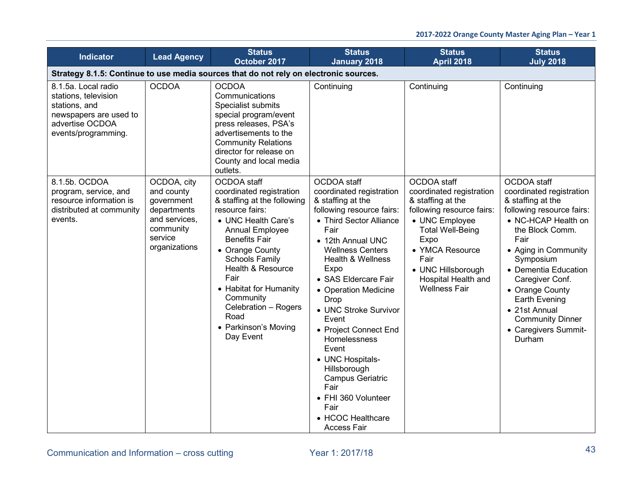| <b>Indicator</b>                                                                                                                 | <b>Lead Agency</b>                                                                                               | <b>Status</b><br>October 2017                                                                                                                                                                                                                                                                                                                    | <b>Status</b><br><b>January 2018</b>                                                                                                                                                                                                                                                                                                                                                                                                                                                                       | <b>Status</b><br><b>April 2018</b>                                                                                                                                                                                                             | <b>Status</b><br><b>July 2018</b>                                                                                                                                                                                                                                                                                                             |  |
|----------------------------------------------------------------------------------------------------------------------------------|------------------------------------------------------------------------------------------------------------------|--------------------------------------------------------------------------------------------------------------------------------------------------------------------------------------------------------------------------------------------------------------------------------------------------------------------------------------------------|------------------------------------------------------------------------------------------------------------------------------------------------------------------------------------------------------------------------------------------------------------------------------------------------------------------------------------------------------------------------------------------------------------------------------------------------------------------------------------------------------------|------------------------------------------------------------------------------------------------------------------------------------------------------------------------------------------------------------------------------------------------|-----------------------------------------------------------------------------------------------------------------------------------------------------------------------------------------------------------------------------------------------------------------------------------------------------------------------------------------------|--|
| Strategy 8.1.5: Continue to use media sources that do not rely on electronic sources.                                            |                                                                                                                  |                                                                                                                                                                                                                                                                                                                                                  |                                                                                                                                                                                                                                                                                                                                                                                                                                                                                                            |                                                                                                                                                                                                                                                |                                                                                                                                                                                                                                                                                                                                               |  |
| 8.1.5a. Local radio<br>stations, television<br>stations, and<br>newspapers are used to<br>advertise OCDOA<br>events/programming. | <b>OCDOA</b>                                                                                                     | <b>OCDOA</b><br>Communications<br>Specialist submits<br>special program/event<br>press releases, PSA's<br>advertisements to the<br><b>Community Relations</b><br>director for release on<br>County and local media<br>outlets.                                                                                                                   | Continuing                                                                                                                                                                                                                                                                                                                                                                                                                                                                                                 | Continuing                                                                                                                                                                                                                                     | Continuing                                                                                                                                                                                                                                                                                                                                    |  |
| 8.1.5b. OCDOA<br>program, service, and<br>resource information is<br>distributed at community<br>events.                         | OCDOA, city<br>and county<br>government<br>departments<br>and services,<br>community<br>service<br>organizations | OCDOA staff<br>coordinated registration<br>& staffing at the following<br>resource fairs:<br>• UNC Health Care's<br>Annual Employee<br><b>Benefits Fair</b><br>• Orange County<br><b>Schools Family</b><br>Health & Resource<br>Fair<br>• Habitat for Humanity<br>Community<br>Celebration - Rogers<br>Road<br>• Parkinson's Moving<br>Day Event | OCDOA staff<br>coordinated registration<br>& staffing at the<br>following resource fairs:<br>• Third Sector Alliance<br>Fair<br>• 12th Annual UNC<br><b>Wellness Centers</b><br><b>Health &amp; Wellness</b><br>Expo<br>• SAS Eldercare Fair<br>• Operation Medicine<br>Drop<br>• UNC Stroke Survivor<br>Event<br>• Project Connect End<br>Homelessness<br>Event<br>• UNC Hospitals-<br>Hillsborough<br>Campus Geriatric<br>Fair<br>• FHI 360 Volunteer<br>Fair<br>• HCOC Healthcare<br><b>Access Fair</b> | OCDOA staff<br>coordinated registration<br>& staffing at the<br>following resource fairs:<br>• UNC Employee<br><b>Total Well-Being</b><br>Expo<br>• YMCA Resource<br>Fair<br>• UNC Hillsborough<br>Hospital Health and<br><b>Wellness Fair</b> | OCDOA staff<br>coordinated registration<br>& staffing at the<br>following resource fairs:<br>• NC-HCAP Health on<br>the Block Comm.<br>Fair<br>• Aging in Community<br>Symposium<br>• Dementia Education<br>Caregiver Conf.<br>• Orange County<br>Earth Evening<br>• 21st Annual<br><b>Community Dinner</b><br>• Caregivers Summit-<br>Durham |  |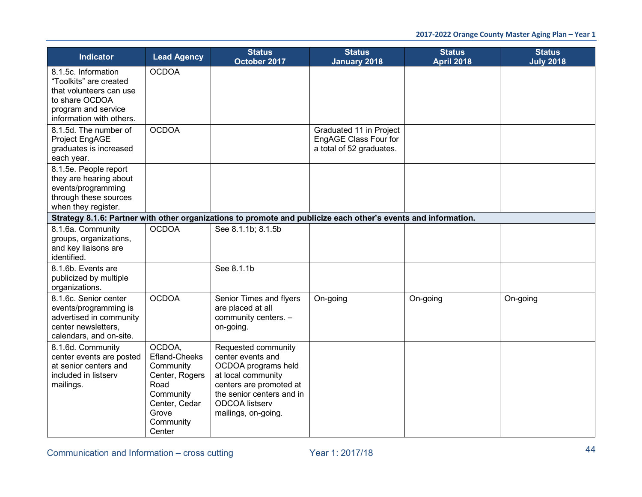| <b>Indicator</b>                                                                                                                              | <b>Lead Agency</b>                                                                                                                  | <b>Status</b><br>October 2017                                                                                                                                                                 | <b>Status</b><br><b>January 2018</b>                                         | <b>Status</b><br><b>April 2018</b> | <b>Status</b><br><b>July 2018</b> |
|-----------------------------------------------------------------------------------------------------------------------------------------------|-------------------------------------------------------------------------------------------------------------------------------------|-----------------------------------------------------------------------------------------------------------------------------------------------------------------------------------------------|------------------------------------------------------------------------------|------------------------------------|-----------------------------------|
| 8.1.5c. Information<br>"Toolkits" are created<br>that volunteers can use<br>to share OCDOA<br>program and service<br>information with others. | <b>OCDOA</b>                                                                                                                        |                                                                                                                                                                                               |                                                                              |                                    |                                   |
| 8.1.5d. The number of<br>Project EngAGE<br>graduates is increased<br>each year.                                                               | <b>OCDOA</b>                                                                                                                        |                                                                                                                                                                                               | Graduated 11 in Project<br>EngAGE Class Four for<br>a total of 52 graduates. |                                    |                                   |
| 8.1.5e. People report<br>they are hearing about<br>events/programming<br>through these sources<br>when they register.                         |                                                                                                                                     |                                                                                                                                                                                               |                                                                              |                                    |                                   |
|                                                                                                                                               |                                                                                                                                     | Strategy 8.1.6: Partner with other organizations to promote and publicize each other's events and information.                                                                                |                                                                              |                                    |                                   |
| 8.1.6a. Community<br>groups, organizations,<br>and key liaisons are<br>identified.                                                            | <b>OCDOA</b>                                                                                                                        | See 8.1.1b; 8.1.5b                                                                                                                                                                            |                                                                              |                                    |                                   |
| 8.1.6b. Events are<br>publicized by multiple<br>organizations.                                                                                |                                                                                                                                     | See 8.1.1b                                                                                                                                                                                    |                                                                              |                                    |                                   |
| 8.1.6c. Senior center<br>events/programming is<br>advertised in community<br>center newsletters.<br>calendars, and on-site.                   | <b>OCDOA</b>                                                                                                                        | Senior Times and flyers<br>are placed at all<br>community centers. -<br>on-going.                                                                                                             | On-going                                                                     | On-going                           | On-going                          |
| 8.1.6d. Community<br>center events are posted<br>at senior centers and<br>included in listserv<br>mailings.                                   | OCDOA,<br><b>Efland-Cheeks</b><br>Community<br>Center, Rogers<br>Road<br>Community<br>Center, Cedar<br>Grove<br>Community<br>Center | Requested community<br>center events and<br>OCDOA programs held<br>at local community<br>centers are promoted at<br>the senior centers and in<br><b>ODCOA</b> listserv<br>mailings, on-going. |                                                                              |                                    |                                   |